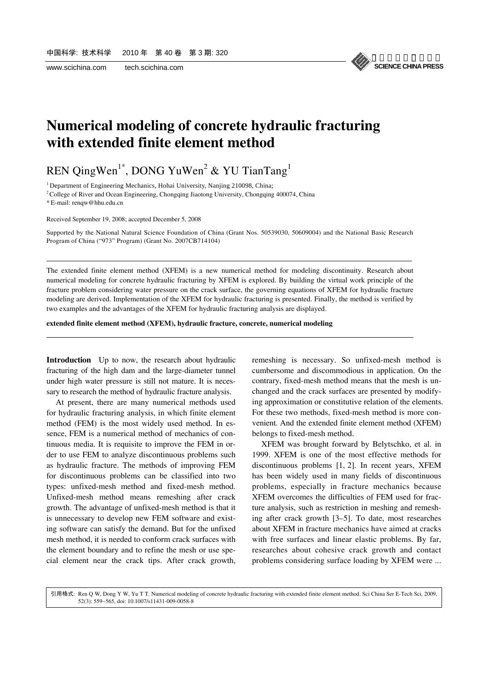

### **Numerical modeling of concrete hydraulic fracturing with extended finite element method**

### REN QingWen<sup>1\*</sup>, DONG YuWen<sup>2</sup> & YU TianTang<sup>1</sup>

 $1$  Department of Engineering Mechanics, Hohai University, Nanjing 210098, China;

<sup>2</sup> College of River and Ocean Engineering, Chongqing Jiaotong University, Chongqing 400074, China

\* E-mail: renqw@hhu.edu.cn

l

l

Received September 19, 2008; accepted December 5, 2008

Supported by the National Natural Science Foundation of China (Grant Nos. 50539030, 50609004) and the National Basic Research Program of China ("973" Program) (Grant No. 2007CB714104)

The extended finite element method (XFEM) is a new numerical method for modeling discontinuity. Research about numerical modeling for concrete hydraulic fracturing by XFEM is explored. By building the virtual work principle of the fracture problem considering water pressure on the crack surface, the governing equations of XFEM for hydraulic fracture modeling are derived. Implementation of the XFEM for hydraulic fracturing is presented. Finally, the method is verified by two examples and the advantages of the XFEM for hydraulic fracturing analysis are displayed.

**extended finite element method (XFEM), hydraulic fracture, concrete, numerical modeling** 

**Introduction** Up to now, the research about hydraulic fracturing of the high dam and the large-diameter tunnel under high water pressure is still not mature. It is necessary to research the method of hydraulic fracture analysis.

At present, there are many numerical methods used for hydraulic fracturing analysis, in which finite element method (FEM) is the most widely used method. In essence, FEM is a numerical method of mechanics of continuous media. It is requisite to improve the FEM in order to use FEM to analyze discontinuous problems such as hydraulic fracture. The methods of improving FEM for discontinuous problems can be classified into two types: unfixed-mesh method and fixed-mesh method. Unfixed-mesh method means remeshing after crack growth. The advantage of unfixed-mesh method is that it is unnecessary to develop new FEM software and existing software can satisfy the demand. But for the unfixed mesh method, it is needed to conform crack surfaces with the element boundary and to refine the mesh or use special element near the crack tips. After crack growth,

remeshing is necessary. So unfixed-mesh method is cumbersome and discommodious in application. On the contrary, fixed-mesh method means that the mesh is unchanged and the crack surfaces are presented by modifying approximation or constitutive relation of the elements. For these two methods, fixed-mesh method is more convenient. And the extended finite element method (XFEM) belongs to fixed-mesh method.

XFEM was brought forward by Belytschko, et al. in 1999. XFEM is one of the most effective methods for discontinuous problems [1, 2]. In recent years, XFEM has been widely used in many fields of discontinuous problems, especially in fracture mechanics because XFEM overcomes the difficulties of FEM used for fracture analysis, such as restriction in meshing and remeshing after crack growth [3–5]. To date, most researches about XFEM in fracture mechanics have aimed at cracks with free surfaces and linear elastic problems. By far, researches about cohesive crack growth and contact problems considering surface loading by XFEM were ...

52(3): 559−565, doi: 10.1007/s11431-009-0058-8 引用格式: Ren Q W, Dong Y W, Yu T T. Numerical modeling of concrete hydraulic fracturing with extended finite element method. Sci China Ser E-Tech Sci, 2009,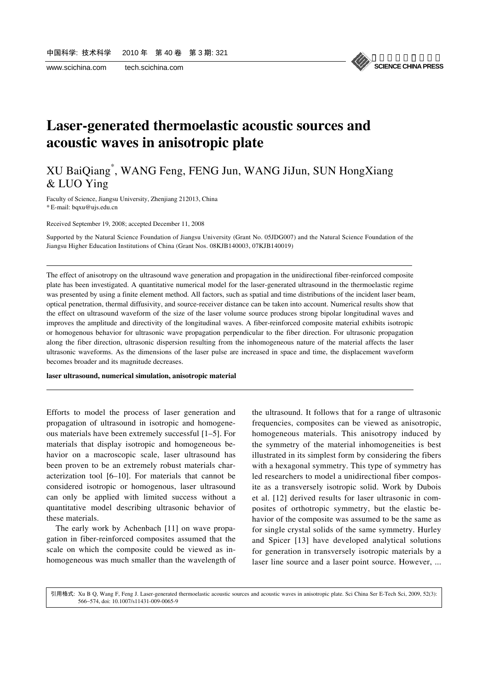l

l



### **Laser-generated thermoelastic acoustic sources and acoustic waves in anisotropic plate**

### XU BaiQiang\* , WANG Feng, FENG Jun, WANG JiJun, SUN HongXiang & LUO Ying

Faculty of Science, Jiangsu University, Zhenjiang 212013, China \* E-mail: bqxu@ujs.edu.cn

Received September 19, 2008; accepted December 11, 2008

Supported by the Natural Science Foundation of Jiangsu University (Grant No. 05JDG007) and the Natural Science Foundation of the Jiangsu Higher Education Institutions of China (Grant Nos. 08KJB140003, 07KJB140019)

The effect of anisotropy on the ultrasound wave generation and propagation in the unidirectional fiber-reinforced composite plate has been investigated. A quantitative numerical model for the laser-generated ultrasound in the thermoelastic regime was presented by using a finite element method. All factors, such as spatial and time distributions of the incident laser beam, optical penetration, thermal diffusivity, and source-receiver distance can be taken into account. Numerical results show that the effect on ultrasound waveform of the size of the laser volume source produces strong bipolar longitudinal waves and improves the amplitude and directivity of the longitudinal waves. A fiber-reinforced composite material exhibits isotropic or homogenous behavior for ultrasonic wave propagation perpendicular to the fiber direction. For ultrasonic propagation along the fiber direction, ultrasonic dispersion resulting from the inhomogeneous nature of the material affects the laser ultrasonic waveforms. As the dimensions of the laser pulse are increased in space and time, the displacement waveform becomes broader and its magnitude decreases.

#### **laser ultrasound, numerical simulation, anisotropic material**

Efforts to model the process of laser generation and propagation of ultrasound in isotropic and homogeneous materials have been extremely successful [1–5]. For materials that display isotropic and homogeneous behavior on a macroscopic scale, laser ultrasound has been proven to be an extremely robust materials characterization tool [6–10]. For materials that cannot be considered isotropic or homogenous, laser ultrasound can only be applied with limited success without a quantitative model describing ultrasonic behavior of these materials.

The early work by Achenbach [11] on wave propagation in fiber-reinforced composites assumed that the scale on which the composite could be viewed as inhomogeneous was much smaller than the wavelength of the ultrasound. It follows that for a range of ultrasonic frequencies, composites can be viewed as anisotropic, homogeneous materials. This anisotropy induced by the symmetry of the material inhomogeneities is best illustrated in its simplest form by considering the fibers with a hexagonal symmetry. This type of symmetry has led researchers to model a unidirectional fiber composite as a transversely isotropic solid. Work by Dubois et al. [12] derived results for laser ultrasonic in composites of orthotropic symmetry, but the elastic behavior of the composite was assumed to be the same as for single crystal solids of the same symmetry. Hurley and Spicer [13] have developed analytical solutions for generation in transversely isotropic materials by a laser line source and a laser point source. However, ...

566−574, doi: 10.1007/s11431-009-0065-9 引用格式: Xu B Q, Wang F, Feng J. Laser-generated thermoelastic acoustic sources and acoustic waves in anisotropic plate. Sci China Ser E-Tech Sci, 2009, 52(3):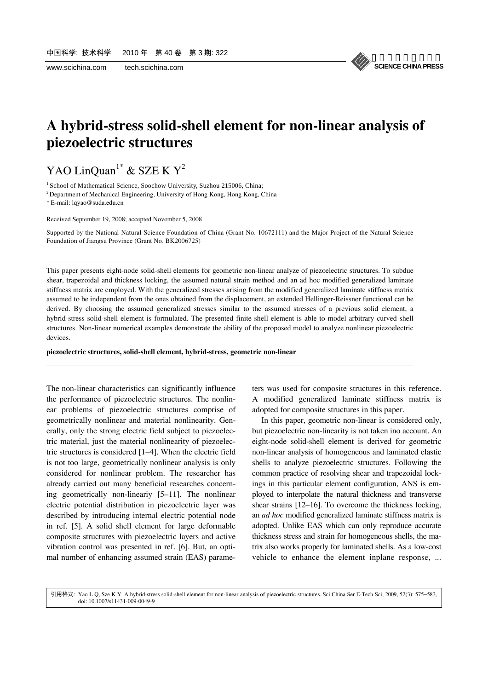

# **A hybrid-stress solid-shell element for non-linear analysis of piezoelectric structures**

# YAO LinQuan<sup>1\*</sup> & SZE K  $Y^2$

<sup>1</sup> School of Mathematical Science, Soochow University, Suzhou 215006, China;

<sup>2</sup> Department of Mechanical Engineering, University of Hong Kong, Hong Kong, China

\* E-mail: lqyao@suda.edu.cn

l

l

Received September 19, 2008; accepted November 5, 2008

Supported by the National Natural Science Foundation of China (Grant No. 10672111) and the Major Project of the Natural Science Foundation of Jiangsu Province (Grant No. BK2006725)

This paper presents eight-node solid-shell elements for geometric non-linear analyze of piezoelectric structures. To subdue shear, trapezoidal and thickness locking, the assumed natural strain method and an ad hoc modified generalized laminate stiffness matrix are employed. With the generalized stresses arising from the modified generalized laminate stiffness matrix assumed to be independent from the ones obtained from the displacement, an extended Hellinger-Reissner functional can be derived. By choosing the assumed generalized stresses similar to the assumed stresses of a previous solid element, a hybrid-stress solid-shell element is formulated. The presented finite shell element is able to model arbitrary curved shell structures. Non-linear numerical examples demonstrate the ability of the proposed model to analyze nonlinear piezoelectric devices.

#### **piezoelectric structures, solid-shell element, hybrid-stress, geometric non-linear**

The non-linear characteristics can significantly influence the performance of piezoelectric structures. The nonlinear problems of piezoelectric structures comprise of geometrically nonlinear and material nonlinearity. Generally, only the strong electric field subject to piezoelectric material, just the material nonlinearity of piezoelectric structures is considered [1–4]. When the electric field is not too large, geometrically nonlinear analysis is only considered for nonlinear problem. The researcher has already carried out many beneficial researches concerning geometrically non-lineariy [5–11]. The nonlinear electric potential distribution in piezoelectric layer was described by introducing internal electric potential node in ref. [5]. A solid shell element for large deformable composite structures with piezoelectric layers and active vibration control was presented in ref. [6]. But, an optimal number of enhancing assumed strain (EAS) parameters was used for composite structures in this reference. A modified generalized laminate stiffness matrix is adopted for composite structures in this paper.

In this paper, geometric non-linear is considered only, but piezoelectric non-linearity is not taken ino account. An eight-node solid-shell element is derived for geometric non-linear analysis of homogeneous and laminated elastic shells to analyze piezoelectric structures. Following the common practice of resolving shear and trapezoidal lockings in this particular element configuration, ANS is employed to interpolate the natural thickness and transverse shear strains [12–16]. To overcome the thickness locking, an *ad hoc* modified generalized laminate stiffness matrix is adopted. Unlike EAS which can only reproduce accurate thickness stress and strain for homogeneous shells, the matrix also works properly for laminated shells. As a low-cost vehicle to enhance the element inplane response, ...

doi: 10.1007/s11431-009-0049-9 引用格式: Yao L O, Sze K Y. A hybrid-stress solid-shell element for non-linear analysis of piezoelectric structures. Sci China Ser E-Tech Sci, 2009, 52(3): 575–583,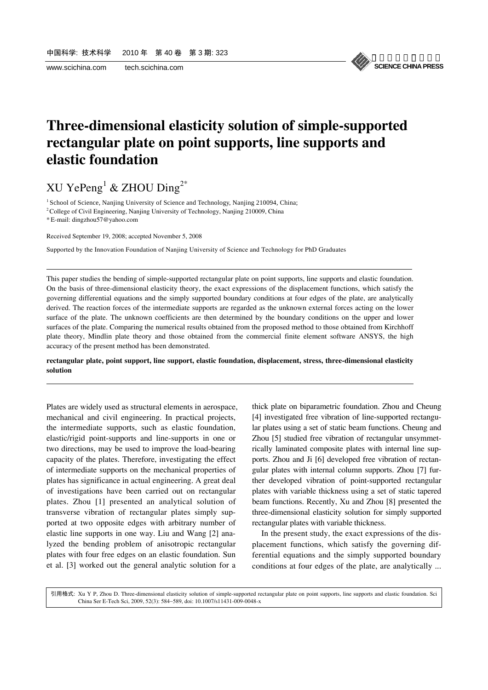

# **Three-dimensional elasticity solution of simple-supported rectangular plate on point supports, line supports and elastic foundation**

XU Ye $Peng<sup>1</sup>$  & ZHOU Ding<sup>2\*</sup>

<sup>1</sup> School of Science, Nanjing University of Science and Technology, Nanjing 210094, China;

<sup>2</sup> College of Civil Engineering, Nanjing University of Technology, Nanjing 210009, China

\* E-mail: dingzhou57@yahoo.com

l

l

Received September 19, 2008; accepted November 5, 2008

Supported by the Innovation Foundation of Nanjing University of Science and Technology for PhD Graduates

This paper studies the bending of simple-supported rectangular plate on point supports, line supports and elastic foundation. On the basis of three-dimensional elasticity theory, the exact expressions of the displacement functions, which satisfy the governing differential equations and the simply supported boundary conditions at four edges of the plate, are analytically derived. The reaction forces of the intermediate supports are regarded as the unknown external forces acting on the lower surface of the plate. The unknown coefficients are then determined by the boundary conditions on the upper and lower surfaces of the plate. Comparing the numerical results obtained from the proposed method to those obtained from Kirchhoff plate theory, Mindlin plate theory and those obtained from the commercial finite element software ANSYS, the high accuracy of the present method has been demonstrated.

#### **rectangular plate, point support, line support, elastic foundation, displacement, stress, three-dimensional elasticity solution**

Plates are widely used as structural elements in aerospace, mechanical and civil engineering. In practical projects, the intermediate supports, such as elastic foundation, elastic/rigid point-supports and line-supports in one or two directions, may be used to improve the load-bearing capacity of the plates. Therefore, investigating the effect of intermediate supports on the mechanical properties of plates has significance in actual engineering. A great deal of investigations have been carried out on rectangular plates. Zhou [1] presented an analytical solution of transverse vibration of rectangular plates simply supported at two opposite edges with arbitrary number of elastic line supports in one way. Liu and Wang [2] analyzed the bending problem of anisotropic rectangular plates with four free edges on an elastic foundation. Sun et al. [3] worked out the general analytic solution for a

thick plate on biparametric foundation. Zhou and Cheung [4] investigated free vibration of line-supported rectangular plates using a set of static beam functions. Cheung and Zhou [5] studied free vibration of rectangular unsymmetrically laminated composite plates with internal line supports. Zhou and Ji [6] developed free vibration of rectangular plates with internal column supports. Zhou [7] further developed vibration of point-supported rectangular plates with variable thickness using a set of static tapered beam functions. Recently, Xu and Zhou [8] presented the three-dimensional elasticity solution for simply supported rectangular plates with variable thickness.

In the present study, the exact expressions of the displacement functions, which satisfy the governing differential equations and the simply supported boundary conditions at four edges of the plate, are analytically ...

China Ser E-Tech Sci, 2009, 52(3): 584−589, doi: 10.1007/s11431-009-0048-x 引用格式: Xu Y P, Zhou D. Three-dimensional elasticity solution of simple-supported rectangular plate on point supports, line supports and elastic foundation. Sci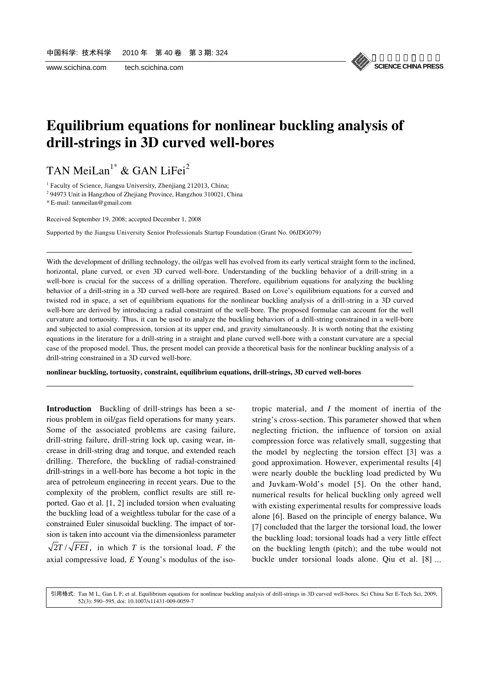

### **Equilibrium equations for nonlinear buckling analysis of drill-strings in 3D curved well-bores**

TAN MeiLan<sup>1\*</sup> & GAN LiFei<sup>2</sup>

<sup>1</sup> Faculty of Science, Jiangsu University, Zhenjiang 212013, China;

<sup>2</sup> 94973 Unit in Hangzhou of Zhejiang Province, Hangzhou 310021, China

\* E-mail: tanmeilan@gmail.com

l

l

Received September 19, 2008; accepted December 1, 2008

Supported by the Jiangsu University Senior Professionals Startup Foundation (Grant No. 06JDG079)

With the development of drilling technology, the oil/gas well has evolved from its early vertical straight form to the inclined, horizontal, plane curved, or even 3D curved well-bore. Understanding of the buckling behavior of a drill-string in a well-bore is crucial for the success of a drilling operation. Therefore, equilibrium equations for analyzing the buckling behavior of a drill-string in a 3D curved well-bore are required. Based on Love's equilibrium equations for a curved and twisted rod in space, a set of equilibrium equations for the nonlinear buckling analysis of a drill-string in a 3D curved well-bore are derived by introducing a radial constraint of the well-bore. The proposed formulae can account for the well curvature and tortuosity. Thus, it can be used to analyze the buckling behaviors of a drill-string constrained in a well-bore and subjected to axial compression, torsion at its upper end, and gravity simultaneously. It is worth noting that the existing equations in the literature for a drill-string in a straight and plane curved well-bore with a constant curvature are a special case of the proposed model. Thus, the present model can provide a theoretical basis for the nonlinear buckling analysis of a drill-string constrained in a 3D curved well-bore.

**nonlinear buckling, tortuosity, constraint, equilibrium equations, drill-strings, 3D curved well-bores** 

**Introduction** Buckling of drill-strings has been a serious problem in oil/gas field operations for many years. Some of the associated problems are casing failure, drill-string failure, drill-string lock up, casing wear, increase in drill-string drag and torque, and extended reach drilling. Therefore, the buckling of radial-constrained drill-strings in a well-bore has become a hot topic in the area of petroleum engineering in recent years. Due to the complexity of the problem, conflict results are still reported. Gao et al. [1, 2] included torsion when evaluating the buckling load of a weightless tubular for the case of a constrained Euler sinusoidal buckling. The impact of torsion is taken into account via the dimensionless parameter  $\sqrt{2}T/\sqrt{FEI}$ , in which *T* is the torsional load, *F* the axial compressive load, *E* Young's modulus of the isotropic material, and *I* the moment of inertia of the string's cross-section. This parameter showed that when neglecting friction, the influence of torsion on axial compression force was relatively small, suggesting that the model by neglecting the torsion effect [3] was a good approximation. However, experimental results [4] were nearly double the buckling load predicted by Wu and Juvkam-Wold's model [5]. On the other hand, numerical results for helical buckling only agreed well with existing experimental results for compressive loads alone [6]. Based on the principle of energy balance, Wu [7] concluded that the larger the torsional load, the lower the buckling load; torsional loads had a very little effect on the buckling length (pitch); and the tube would not buckle under torsional loads alone. Qiu et al. [8] ...

52(3): 590−595, doi: 10.1007/s11431-009-0059-7 引用格式: Tan M L, Gan L F, et al. Equilibrium equations for nonlinear buckling analysis of drill-strings in 3D curved well-bores. Sci China Ser E-Tech Sci, 2009,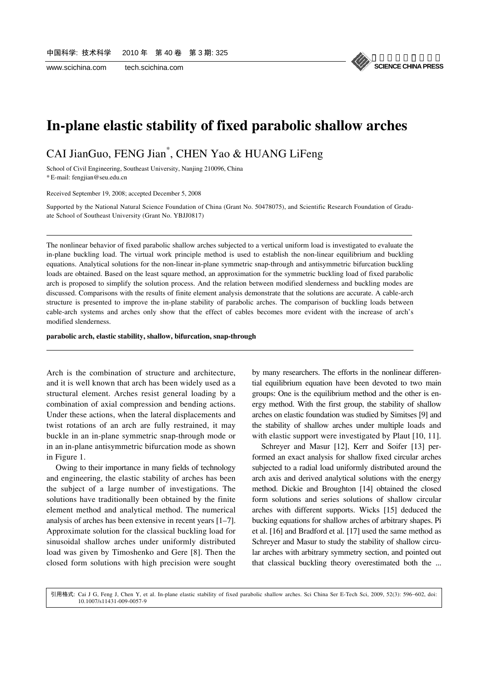

### **In-plane elastic stability of fixed parabolic shallow arches**

CAI JianGuo, FENG Jian\* , CHEN Yao & HUANG LiFeng

School of Civil Engineering, Southeast University, Nanjing 210096, China

\* E-mail: fengjian@seu.edu.cn

l

l

Received September 19, 2008; accepted December 5, 2008

Supported by the National Natural Science Foundation of China (Grant No. 50478075), and Scientific Research Foundation of Graduate School of Southeast University (Grant No. YBJJ0817)

The nonlinear behavior of fixed parabolic shallow arches subjected to a vertical uniform load is investigated to evaluate the in-plane buckling load. The virtual work principle method is used to establish the non-linear equilibrium and buckling equations. Analytical solutions for the non-linear in-plane symmetric snap-through and antisymmetric bifurcation buckling loads are obtained. Based on the least square method, an approximation for the symmetric buckling load of fixed parabolic arch is proposed to simplify the solution process. And the relation between modified slenderness and buckling modes are discussed. Comparisons with the results of finite element analysis demonstrate that the solutions are accurate. A cable-arch structure is presented to improve the in-plane stability of parabolic arches. The comparison of buckling loads between cable-arch systems and arches only show that the effect of cables becomes more evident with the increase of arch's modified slenderness.

**parabolic arch, elastic stability, shallow, bifurcation, snap-through** 

Arch is the combination of structure and architecture, and it is well known that arch has been widely used as a structural element. Arches resist general loading by a combination of axial compression and bending actions. Under these actions, when the lateral displacements and twist rotations of an arch are fully restrained, it may buckle in an in-plane symmetric snap-through mode or in an in-plane antisymmetric bifurcation mode as shown in Figure 1.

Owing to their importance in many fields of technology and engineering, the elastic stability of arches has been the subject of a large number of investigations. The solutions have traditionally been obtained by the finite element method and analytical method. The numerical analysis of arches has been extensive in recent years [1–7]. Approximate solution for the classical buckling load for sinusoidal shallow arches under uniformly distributed load was given by Timoshenko and Gere [8]. Then the closed form solutions with high precision were sought by many researchers. The efforts in the nonlinear differential equilibrium equation have been devoted to two main groups: One is the equilibrium method and the other is energy method. With the first group, the stability of shallow arches on elastic foundation was studied by Simitses [9] and the stability of shallow arches under multiple loads and with elastic support were investigated by Plaut [10, 11].

Schreyer and Masur [12], Kerr and Soifer [13] performed an exact analysis for shallow fixed circular arches subjected to a radial load uniformly distributed around the arch axis and derived analytical solutions with the energy method. Dickie and Broughton [14] obtained the closed form solutions and series solutions of shallow circular arches with different supports. Wicks [15] deduced the bucking equations for shallow arches of arbitrary shapes. Pi et al. [16] and Bradford et al. [17] used the same method as Schreyer and Masur to study the stability of shallow circular arches with arbitrary symmetry section, and pointed out that classical buckling theory overestimated both the ...

10.1007/s11431-009-0057-9 引用格式: Cai J G, Feng J, Chen Y, et al. In-plane elastic stability of fixed parabolic shallow arches. Sci China Ser E-Tech Sci, 2009, 52(3): 596−602, doi: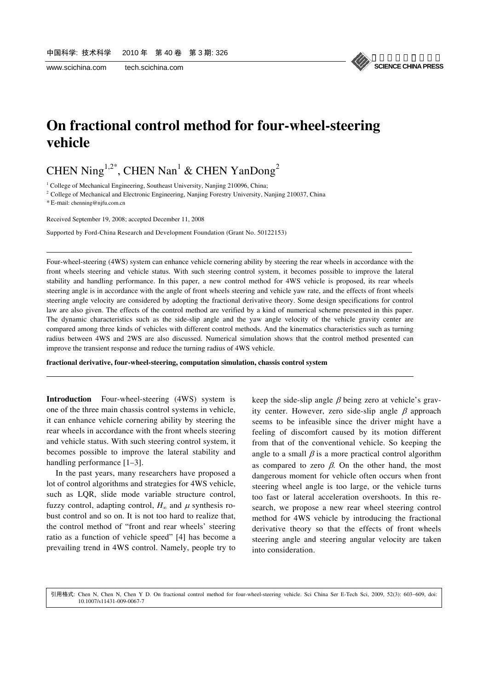《中国科学》杂志社 **SCIENCE CHINA PRESS**

# **On fractional control method for four-wheel-steering vehicle**

CHEN Ning<sup>1,2\*</sup>, CHEN Nan<sup>1</sup> & CHEN YanDong<sup>2</sup>

<sup>1</sup> College of Mechanical Engineering, Southeast University, Nanjing 210096, China;

<sup>2</sup> College of Mechanical and Electronic Engineering, Nanjing Forestry University, Nanjing 210037, China

\* E-mail: chenning@njfu.com.cn

l

l

Received September 19, 2008; accepted December 11, 2008

Supported by Ford-China Research and Development Foundation (Grant No. 50122153)

Four-wheel-steering (4WS) system can enhance vehicle cornering ability by steering the rear wheels in accordance with the front wheels steering and vehicle status. With such steering control system, it becomes possible to improve the lateral stability and handling performance. In this paper, a new control method for 4WS vehicle is proposed, its rear wheels steering angle is in accordance with the angle of front wheels steering and vehicle yaw rate, and the effects of front wheels steering angle velocity are considered by adopting the fractional derivative theory. Some design specifications for control law are also given. The effects of the control method are verified by a kind of numerical scheme presented in this paper. The dynamic characteristics such as the side-slip angle and the yaw angle velocity of the vehicle gravity center are compared among three kinds of vehicles with different control methods. And the kinematics characteristics such as turning radius between 4WS and 2WS are also discussed. Numerical simulation shows that the control method presented can improve the transient response and reduce the turning radius of 4WS vehicle.

**fractional derivative, four-wheel-steering, computation simulation, chassis control system** 

**Introduction** Four-wheel-steering (4WS) system is one of the three main chassis control systems in vehicle, it can enhance vehicle cornering ability by steering the rear wheels in accordance with the front wheels steering and vehicle status. With such steering control system, it becomes possible to improve the lateral stability and handling performance [1–3].

In the past years, many researchers have proposed a lot of control algorithms and strategies for 4WS vehicle, such as LQR, slide mode variable structure control, fuzzy control, adapting control,  $H_{\infty}$  and  $\mu$  synthesis robust control and so on. It is not too hard to realize that, the control method of "front and rear wheels' steering ratio as a function of vehicle speed" [4] has become a prevailing trend in 4WS control. Namely, people try to

keep the side-slip angle  $\beta$  being zero at vehicle's gravity center. However, zero side-slip angle  $\beta$  approach seems to be infeasible since the driver might have a feeling of discomfort caused by its motion different from that of the conventional vehicle. So keeping the angle to a small  $\beta$  is a more practical control algorithm as compared to zero  $\beta$ . On the other hand, the most dangerous moment for vehicle often occurs when front steering wheel angle is too large, or the vehicle turns too fast or lateral acceleration overshoots. In this research, we propose a new rear wheel steering control method for 4WS vehicle by introducing the fractional derivative theory so that the effects of front wheels steering angle and steering angular velocity are taken into consideration.

10.1007/s11431-009-0067-7 引用格式: Chen N, Chen N, Chen Y D. On fractional control method for four-wheel-steering vehicle. Sci China Ser E-Tech Sci, 2009, 52(3): 603−609, doi: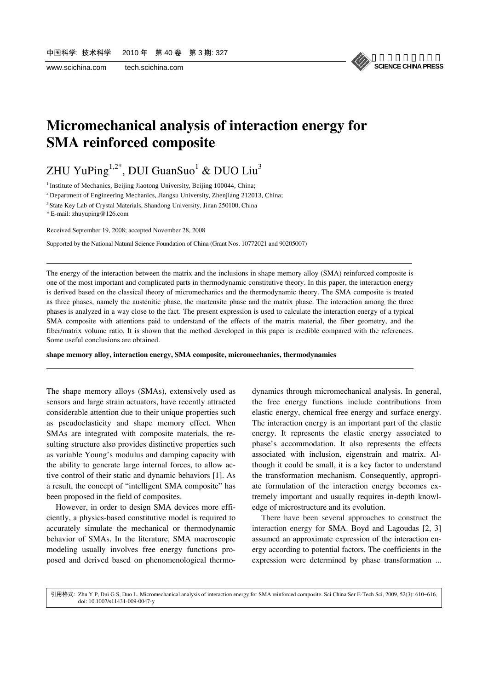《中国科学》杂志社 **SCIENCE CHINA PRESS**

### **Micromechanical analysis of interaction energy for SMA reinforced composite**

### ZHU YuPing $^{1,2^*}$ , DUI GuanSuo $^1$  & DUO Liu $^3$

<sup>1</sup> Institute of Mechanics, Beijing Jiaotong University, Beijing 100044, China;

<sup>2</sup> Department of Engineering Mechanics, Jiangsu University, Zhenjiang 212013, China;

<sup>3</sup> State Key Lab of Crystal Materials, Shandong University, Jinan 250100, China

\* E-mail: zhuyuping@126.com

l

l

Received September 19, 2008; accepted November 28, 2008

Supported by the National Natural Science Foundation of China (Grant Nos. 10772021 and 90205007)

The energy of the interaction between the matrix and the inclusions in shape memory alloy (SMA) reinforced composite is one of the most important and complicated parts in thermodynamic constitutive theory. In this paper, the interaction energy is derived based on the classical theory of micromechanics and the thermodynamic theory. The SMA composite is treated as three phases, namely the austenitic phase, the martensite phase and the matrix phase. The interaction among the three phases is analyzed in a way close to the fact. The present expression is used to calculate the interaction energy of a typical SMA composite with attentions paid to understand of the effects of the matrix material, the fiber geometry, and the fiber/matrix volume ratio. It is shown that the method developed in this paper is credible compared with the references. Some useful conclusions are obtained.

**shape memory alloy, interaction energy, SMA composite, micromechanics, thermodynamics** 

The shape memory alloys (SMAs), extensively used as sensors and large strain actuators, have recently attracted considerable attention due to their unique properties such as pseudoelasticity and shape memory effect. When SMAs are integrated with composite materials, the resulting structure also provides distinctive properties such as variable Young's modulus and damping capacity with the ability to generate large internal forces, to allow active control of their static and dynamic behaviors [1]. As a result, the concept of "intelligent SMA composite" has been proposed in the field of composites.

However, in order to design SMA devices more efficiently, a physics-based constitutive model is required to accurately simulate the mechanical or thermodynamic behavior of SMAs. In the literature, SMA macroscopic modeling usually involves free energy functions proposed and derived based on phenomenological thermodynamics through micromechanical analysis. In general, the free energy functions include contributions from elastic energy, chemical free energy and surface energy. The interaction energy is an important part of the elastic energy. It represents the elastic energy associated to phase's accommodation. It also represents the effects associated with inclusion, eigenstrain and matrix. Although it could be small, it is a key factor to understand the transformation mechanism. Consequently, appropriate formulation of the interaction energy becomes extremely important and usually requires in-depth knowledge of microstructure and its evolution.

There have been several approaches to construct the interaction energy for SMA. Boyd and Lagoudas [2, 3] assumed an approximate expression of the interaction energy according to potential factors. The coefficients in the expression were determined by phase transformation ...

doi: 10.1007/s11431-009-0047-y 引用格式: Zhu Y P, Dui G S, Duo L. Micromechanical analysis of interaction energy for SMA reinforced composite. Sci China Ser E-Tech Sci, 2009, 52(3): 610−616,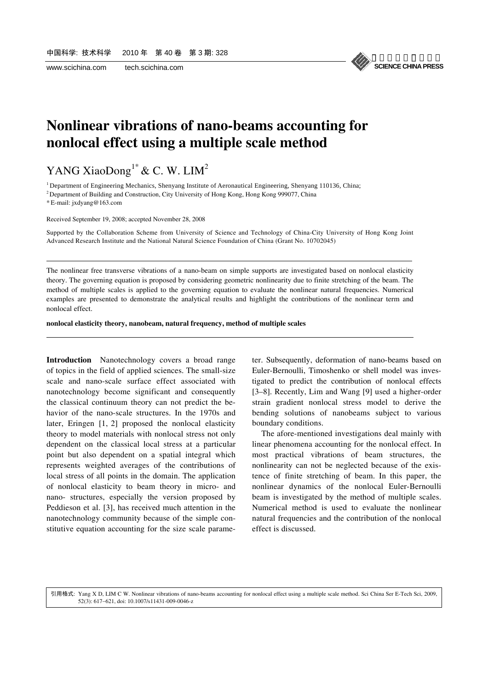

### **Nonlinear vibrations of nano-beams accounting for nonlocal effect using a multiple scale method**

YANG XiaoDong<sup>1\*</sup> & C. W. LIM<sup>2</sup>

<sup>1</sup> Department of Engineering Mechanics, Shenyang Institute of Aeronautical Engineering, Shenyang 110136, China;

2 Department of Building and Construction, City University of Hong Kong, Hong Kong 999077, China

\* E-mail: jxdyang@163.com

l

l

Received September 19, 2008; accepted November 28, 2008

Supported by the Collaboration Scheme from University of Science and Technology of China-City University of Hong Kong Joint Advanced Research Institute and the National Natural Science Foundation of China (Grant No. 10702045)

The nonlinear free transverse vibrations of a nano-beam on simple supports are investigated based on nonlocal elasticity theory. The governing equation is proposed by considering geometric nonlinearity due to finite stretching of the beam. The method of multiple scales is applied to the governing equation to evaluate the nonlinear natural frequencies. Numerical examples are presented to demonstrate the analytical results and highlight the contributions of the nonlinear term and nonlocal effect.

**nonlocal elasticity theory, nanobeam, natural frequency, method of multiple scales** 

**Introduction** Nanotechnology covers a broad range of topics in the field of applied sciences. The small-size scale and nano-scale surface effect associated with nanotechnology become significant and consequently the classical continuum theory can not predict the behavior of the nano-scale structures. In the 1970s and later, Eringen [1, 2] proposed the nonlocal elasticity theory to model materials with nonlocal stress not only dependent on the classical local stress at a particular point but also dependent on a spatial integral which represents weighted averages of the contributions of local stress of all points in the domain. The application of nonlocal elasticity to beam theory in micro- and nano- structures, especially the version proposed by Peddieson et al. [3], has received much attention in the nanotechnology community because of the simple constitutive equation accounting for the size scale parameter. Subsequently, deformation of nano-beams based on Euler-Bernoulli, Timoshenko or shell model was investigated to predict the contribution of nonlocal effects [3–8]. Recently, Lim and Wang [9] used a higher-order strain gradient nonlocal stress model to derive the bending solutions of nanobeams subject to various boundary conditions.

The afore-mentioned investigations deal mainly with linear phenomena accounting for the nonlocal effect. In most practical vibrations of beam structures, the nonlinearity can not be neglected because of the existence of finite stretching of beam. In this paper, the nonlinear dynamics of the nonlocal Euler-Bernoulli beam is investigated by the method of multiple scales. Numerical method is used to evaluate the nonlinear natural frequencies and the contribution of the nonlocal effect is discussed.

52(3): 617−621, doi: 10.1007/s11431-009-0046-z 引用格式: Yang X D, LIM C W. Nonlinear vibrations of nano-beams accounting for nonlocal effect using a multiple scale method. Sci China Ser E-Tech Sci, 2009,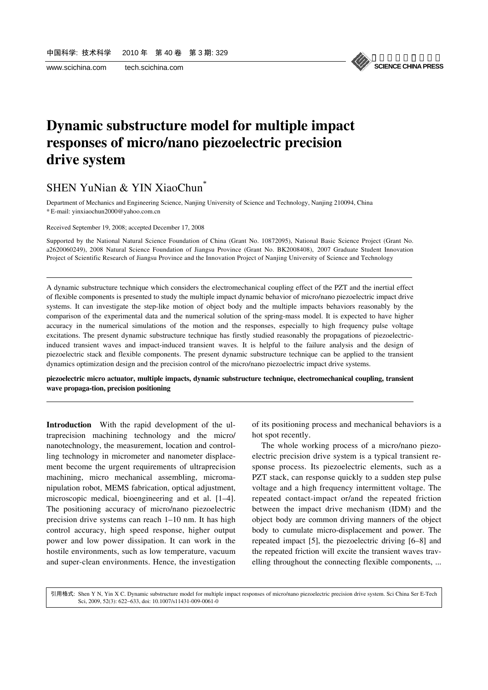l

l



# **Dynamic substructure model for multiple impact responses of micro/nano piezoelectric precision drive system**

### SHEN YuNian & YIN XiaoChun<sup>\*</sup>

Department of Mechanics and Engineering Science, Nanjing University of Science and Technology, Nanjing 210094, China \* E-mail: yinxiaochun2000@yahoo.com.cn

Received September 19, 2008; accepted December 17, 2008

Supported by the National Natural Science Foundation of China (Grant No. 10872095), National Basic Science Project (Grant No. a2620060249), 2008 Natural Science Foundation of Jiangsu Province (Grant No. BK2008408), 2007 Graduate Student Innovation Project of Scientific Research of Jiangsu Province and the Innovation Project of Nanjing University of Science and Technology

A dynamic substructure technique which considers the electromechanical coupling effect of the PZT and the inertial effect of flexible components is presented to study the multiple impact dynamic behavior of micro/nano piezoelectric impact drive systems. It can investigate the step-like motion of object body and the multiple impacts behaviors reasonably by the comparison of the experimental data and the numerical solution of the spring-mass model. It is expected to have higher accuracy in the numerical simulations of the motion and the responses, especially to high frequency pulse voltage excitations. The present dynamic substructure technique has firstly studied reasonably the propagations of piezoelectricinduced transient waves and impact-induced transient waves. It is helpful to the failure analysis and the design of piezoelectric stack and flexible components. The present dynamic substructure technique can be applied to the transient dynamics optimization design and the precision control of the micro/nano piezoelectric impact drive systems.

**piezoelectric micro actuator, multiple impacts, dynamic substructure technique, electromechanical coupling, transient wave propaga-tion, precision positioning** 

**Introduction** With the rapid development of the ultraprecision machining technology and the micro/ nanotechnology, the measurement, location and controlling technology in micrometer and nanometer displacement become the urgent requirements of ultraprecision machining, micro mechanical assembling, micromanipulation robot, MEMS fabrication, optical adjustment, microscopic medical, bioengineering and et al. [1–4]. The positioning accuracy of micro/nano piezoelectric precision drive systems can reach 1–10 nm. It has high control accuracy, high speed response, higher output power and low power dissipation. It can work in the hostile environments, such as low temperature, vacuum and super-clean environments. Hence, the investigation

of its positioning process and mechanical behaviors is a hot spot recently.

The whole working process of a micro/nano piezoelectric precision drive system is a typical transient response process. Its piezoelectric elements, such as a PZT stack, can response quickly to a sudden step pulse voltage and a high frequency intermittent voltage. The repeated contact-impact or/and the repeated friction between the impact drive mechanism (IDM) and the object body are common driving manners of the object body to cumulate micro-displacement and power. The repeated impact [5], the piezoelectric driving [6–8] and the repeated friction will excite the transient waves travelling throughout the connecting flexible components, ...

. 引用格式: Shen Y N, Yin X C Dynamic substructure model for multiple impact responses of micro/nano piezoelectric precision drive system. Sci China Ser E-Tech Sci, 2009, 52(3): 622−633, doi: 10.1007/s11431-009-0061-0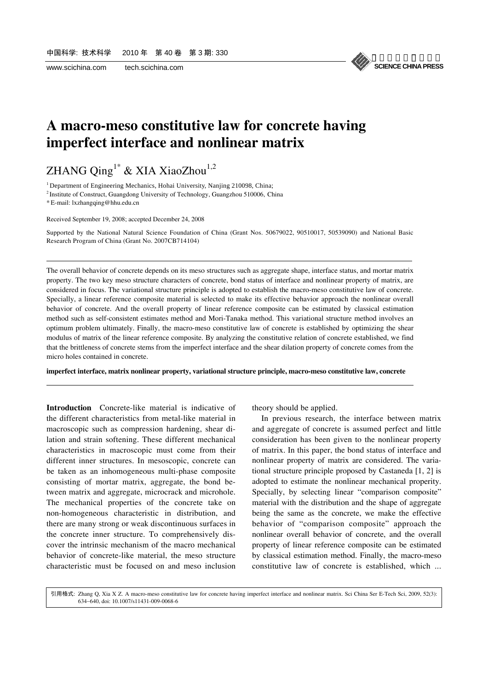

## **A macro-meso constitutive law for concrete having imperfect interface and nonlinear matrix**

# ZHANG Qing<sup>1\*</sup> & XIA XiaoZhou<sup>1,2</sup>

<sup>1</sup> Department of Engineering Mechanics, Hohai University, Nanjing 210098, China;

2 Institute of Construct, Guangdong University of Technology, Guangzhou 510006, China

\* E-mail: lxzhangqing@hhu.edu.cn

l

l

Received September 19, 2008; accepted December 24, 2008

Supported by the National Natural Science Foundation of China (Grant Nos. 50679022, 90510017, 50539090) and National Basic Research Program of China (Grant No. 2007CB714104)

The overall behavior of concrete depends on its meso structures such as aggregate shape, interface status, and mortar matrix property. The two key meso structure characters of concrete, bond status of interface and nonlinear property of matrix, are considered in focus. The variational structure principle is adopted to establish the macro-meso constitutive law of concrete. Specially, a linear reference composite material is selected to make its effective behavior approach the nonlinear overall behavior of concrete. And the overall property of linear reference composite can be estimated by classical estimation method such as self-consistent estimates method and Mori-Tanaka method. This variational structure method involves an optimum problem ultimately. Finally, the macro-meso constitutive law of concrete is established by optimizing the shear modulus of matrix of the linear reference composite. By analyzing the constitutive relation of concrete established, we find that the brittleness of concrete stems from the imperfect interface and the shear dilation property of concrete comes from the micro holes contained in concrete.

**imperfect interface, matrix nonlinear property, variational structure principle, macro-meso constitutive law, concrete** 

**Introduction** Concrete-like material is indicative of the different characteristics from metal-like material in macroscopic such as compression hardening, shear dilation and strain softening. These different mechanical characteristics in macroscopic must come from their different inner structures. In mesoscopic, concrete can be taken as an inhomogeneous multi-phase composite consisting of mortar matrix, aggregate, the bond between matrix and aggregate, microcrack and microhole. The mechanical properties of the concrete take on non-homogeneous characteristic in distribution, and there are many strong or weak discontinuous surfaces in the concrete inner structure. To comprehensively discover the intrinsic mechanism of the macro mechanical behavior of concrete-like material, the meso structure characteristic must be focused on and meso inclusion

theory should be applied.

In previous research, the interface between matrix and aggregate of concrete is assumed perfect and little consideration has been given to the nonlinear property of matrix. In this paper, the bond status of interface and nonlinear property of matrix are considered. The variational structure principle proposed by Castaneda [1, 2] is adopted to estimate the nonlinear mechanical properity. Specially, by selecting linear "comparison composite" material with the distribution and the shape of aggregate being the same as the concrete, we make the effective behavior of "comparison composite" approach the nonlinear overall behavior of concrete, and the overall property of linear reference composite can be estimated by classical estimation method. Finally, the macro-meso constitutive law of concrete is established, which ...

634−640, doi: 10.1007/s11431-009-0068-6 引用格式: Zhang Q, Xia X Z. A macro-meso constitutive law for concrete having imperfect interface and nonlinear matrix. Sci China Ser E-Tech Sci, 2009, 52(3):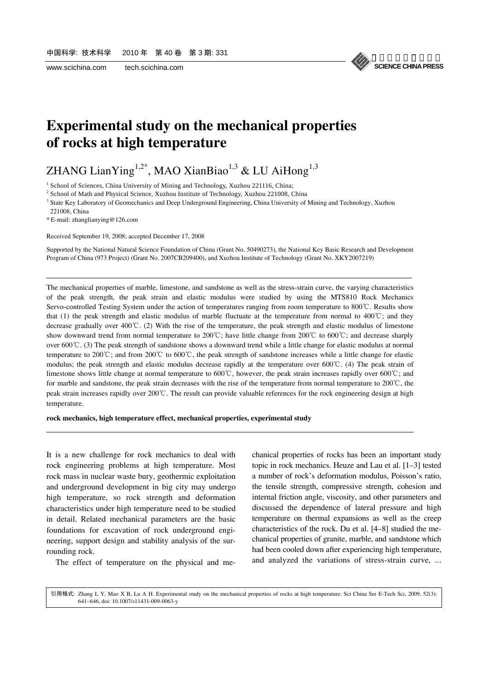

# **Experimental study on the mechanical properties of rocks at high temperature**

# ZHANG LianYing<sup>1,2\*</sup>, MAO XianBiao<sup>1,3</sup> & LU AiHong<sup>1,3</sup>

<sup>1</sup> School of Sciences, China University of Mining and Technology, Xuzhou 221116, China;<br><sup>2</sup> School of Math and Physical Science, Xuzhou Institute of Technology, Xuzhou 221009, C

<sup>2</sup> School of Math and Physical Science, Xuzhou Institute of Technology, Xuzhou 221008, China

<sup>3</sup> State Key Laboratory of Geomechanics and Deep Underground Engineering, China University of Mining and Technology, Xuzhou 221008, China

\* E-mail: zhanglianying@126.com

l

l

Received September 19, 2008; accepted December 17, 2008

Supported by the National Natural Science Foundation of China (Grant No. 50490273), the National Key Basic Research and Development Program of China (973 Project) (Grant No. 2007CB209400), and Xuzhou Institute of Technology (Grant No. XKY2007219)

The mechanical properties of marble, limestone, and sandstone as well as the stress-strain curve, the varying characteristics of the peak strength, the peak strain and [elastic modulus](http://dict.cnki.net/dict_result.aspx?searchword=%e5%bc%b9%e6%80%a7%e6%a8%a1%e9%87%8f&tjType=sentence&style=&t=elastic+modulus) were studied by using the MTS810 Rock Mechanics Servo-controlled Testing System under the action of temperatures ranging from room temperature to 800 ℃. Results show that (1) the peak strength and elastic modulus of marble fluctuate at the temperature from normal to 400 °C; and they decrease gradually over 400°C. (2) With the rise of the temperature, the peak strength and elastic modulus of limestone show downward trend from normal temperature to 200°C; have little change from 200°C to 600°C; and decrease sharply over 600°C. (3) The peak strength of sandstone shows a downward trend while a little change for elastic modulus at normal temperature to 200°C; and from 200°C to 600°C, the peak strength of sandstone increases while a little change for elastic modulus; the peak strength and elastic modulus decrease rapidly at the temperature over  $600^{\circ}$ C. (4) The peak strain of limestone shows little change at normal temperature to 600°C, however, the peak strain increases rapidly over 600°C; and for marble and sandstone, the peak strain decreases with the rise of the temperature from normal temperature to  $200^{\circ}$ C, the peak strain increases rapidly over 200℃. The result can provide valuable references for the rock engineering design at high temperature.

#### **rock mechanics, high temperature effect, mechanical properties, experimental study**

It is a new challenge for rock mechanics to deal with rock engineering problems at high temperature. Most rock mass in nuclear waste bury, geothermic exploitation and underground development in big city may undergo high temperature, so rock strength and deformation characteristics under high temperature need to be studied in detail. Related mechanical parameters are the basic foundations for excavation of rock underground engineering, support design and stability analysis of the surrounding rock.

The effect of temperature on the physical and me-

chanical properties of rocks has been an important study topic in rock mechanics. Heuze and Lau et al. [1–3] tested a number of rock's deformation modulus, Poisson's ratio, the tensile strength, compressive strength, cohesion and internal friction angle, viscosity, and other parameters and discussed the dependence of lateral pressure and high temperature on thermal expansions as well as the creep characteristics of the rock. Du et al. [4–8] studied the mechanical properties of granite, marble, and sandstone which had been cooled down after experiencing high temperature, and analyzed the variations of stress-strain curve, ...

641−646, doi: 10.1007/s11431-009-0063-y 引用格式: Zhang L Y, Mao X B, Lu A H. Experimental study on the mechanical properties of rocks at high temperature. Sci China Ser E-Tech Sci, 2009, 52(3):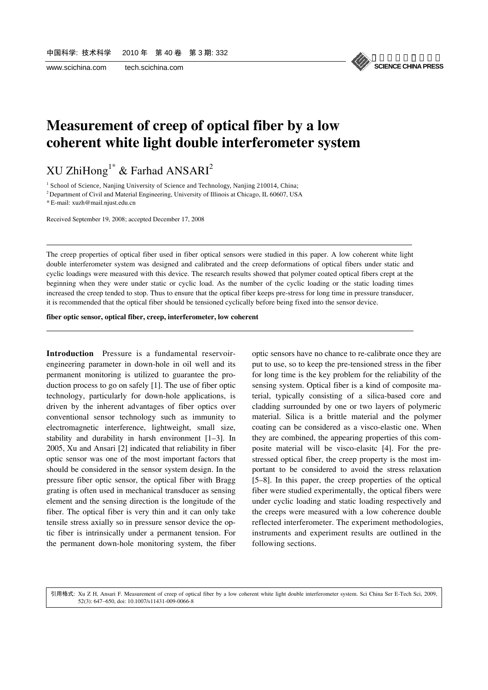

## **Measurement of creep of optical fiber by a low coherent white light double interferometer system**

XU ZhiHong<sup>1\*</sup> & Farhad ANSARI<sup>2</sup>

<sup>1</sup> School of Science, Nanjing University of Science and Technology, Nanjing 210014, China;

<sup>2</sup> Department of Civil and Material Engineering, University of Illinois at Chicago, IL 60607, USA

\* E-mail: xuzh@mail.njust.edu.cn

l

l

Received September 19, 2008; accepted December 17, 2008

The creep properties of optical fiber used in fiber optical sensors were studied in this paper. A low coherent white light double interferometer system was designed and calibrated and the creep deformations of optical fibers under static and cyclic loadings were measured with this device. The research results showed that polymer coated optical fibers crept at the beginning when they were under static or cyclic load. As the number of the cyclic loading or the static loading times increased the creep tended to stop. Thus to ensure that the optical fiber keeps pre-stress for long time in pressure transducer, it is recommended that the optical fiber should be tensioned cyclically before being fixed into the sensor device.

**fiber optic sensor, optical fiber, creep, interferometer, low coherent** 

**Introduction** Pressure is a fundamental reservoirengineering parameter in down-hole in oil well and its permanent monitoring is utilized to guarantee the production process to go on safely [1]. The use of fiber optic technology, particularly for down-hole applications, is driven by the inherent advantages of fiber optics over conventional sensor technology such as immunity to electromagnetic interference, lightweight, small size, stability and durability in harsh environment [1–3]. In 2005, Xu and Ansari [2] indicated that reliability in fiber optic sensor was one of the most important factors that should be considered in the sensor system design. In the pressure fiber optic sensor, the optical fiber with Bragg grating is often used in mechanical transducer as sensing element and the sensing direction is the longitude of the fiber. The optical fiber is very thin and it can only take tensile stress axially so in pressure sensor device the optic fiber is intrinsically under a permanent tension. For the permanent down-hole monitoring system, the fiber optic sensors have no chance to re-calibrate once they are put to use, so to keep the pre-tensioned stress in the fiber for long time is the key problem for the reliability of the sensing system. Optical fiber is a kind of composite material, typically consisting of a silica-based core and cladding surrounded by one or two layers of polymeric material. Silica is a brittle material and the polymer coating can be considered as a visco-elastic one. When they are combined, the appearing properties of this composite material will be visco-elasitc [4]. For the prestressed optical fiber, the creep property is the most important to be considered to avoid the stress relaxation [5–8]. In this paper, the creep properties of the optical fiber were studied experimentally, the optical fibers were under cyclic loading and static loading respectively and the creeps were measured with a low coherence double reflected interferometer. The experiment methodologies, instruments and experiment results are outlined in the following sections.

52(3): 647−650, doi: 10.1007/s11431-009-0066-8 引用格式: Xu Z H, Ansari F. Measurement of creep of optical fiber by a low coherent white light double interferometer system. Sci China Ser E-Tech Sci, 2009,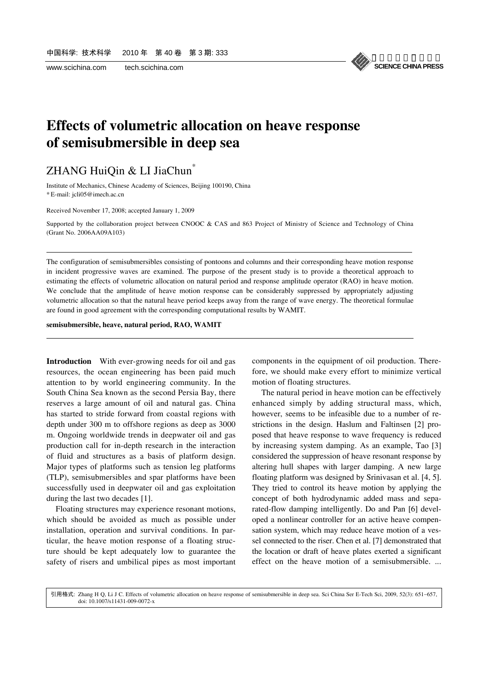l

l



# **Effects of volumetric allocation on heave response of semisubmersible in deep sea**

### ZHANG HuiQin & LI JiaChun<sup>\*</sup>

Institute of Mechanics, Chinese Academy of Sciences, Beijing 100190, China \* E-mail: jcli05@imech.ac.cn

Received November 17, 2008; accepted January 1, 2009

Supported by the collaboration project between CNOOC & CAS and 863 Project of Ministry of Science and Technology of China (Grant No. 2006AA09A103)

The configuration of semisubmersibles consisting of pontoons and columns and their corresponding heave motion response in incident progressive waves are examined. The purpose of the present study is to provide a theoretical approach to estimating the effects of volumetric allocation on natural period and response amplitude operator (RAO) in heave motion. We conclude that the amplitude of heave motion response can be considerably suppressed by appropriately adjusting volumetric allocation so that the natural heave period keeps away from the range of wave energy. The theoretical formulae are found in good agreement with the corresponding computational results by WAMIT.

#### **semisubmersible, heave, natural period, RAO, WAMIT**

**Introduction** With ever-growing needs for oil and gas resources, the ocean engineering has been paid much attention to by world engineering community. In the South China Sea known as the second Persia Bay, there reserves a large amount of oil and natural gas. China has started to stride forward from coastal regions with depth under 300 m to offshore regions as deep as 3000 m. Ongoing worldwide trends in deepwater oil and gas production call for in-depth research in the interaction of fluid and structures as a basis of platform design. Major types of platforms such as tension leg platforms (TLP), semisubmersibles and spar platforms have been successfully used in deepwater oil and gas exploitation during the last two decades [1].

Floating structures may experience resonant motions, which should be avoided as much as possible under installation, operation and survival conditions. In particular, the heave motion response of a floating structure should be kept adequately low to guarantee the safety of risers and umbilical pipes as most important

components in the equipment of oil production. Therefore, we should make every effort to minimize vertical motion of floating structures.

The natural period in heave motion can be effectively enhanced simply by adding structural mass, which, however, seems to be infeasible due to a number of restrictions in the design. Haslum and Faltinsen [2] proposed that heave response to wave frequency is reduced by increasing system damping. As an example, Tao [3] considered the suppression of heave resonant response by altering hull shapes with larger damping. A new large floating platform was designed by Srinivasan et al. [4, 5]. They tried to control its heave motion by applying the concept of both hydrodynamic added mass and separated-flow damping intelligently. Do and Pan [6] developed a nonlinear controller for an active heave compensation system, which may reduce heave motion of a vessel connected to the riser. Chen et al. [7] demonstrated that the location or draft of heave plates exerted a significant effect on the heave motion of a semisubmersible. ...

doi: 10.1007/s11431-009-0072-x 引用格式: Zhang H Q, Li J C. Effects of volumetric allocation on heave response of semisubmersible in deep sea. Sci China Ser E-Tech Sci, 2009, 52(3): 651−657,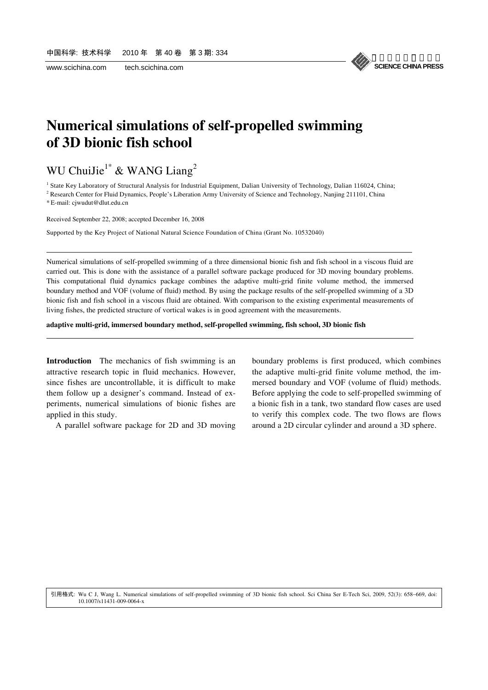

# **Numerical simulations of self-propelled swimming of 3D bionic fish school**

# WU ChuiJie<sup>1\*</sup> & WANG Liang<sup>2</sup>

<sup>1</sup> State Key Laboratory of Structural Analysis for Industrial Equipment, Dalian University of Technology, Dalian 116024, China;

<sup>2</sup> Research Center for Fluid Dynamics, People's Liberation Army University of Science and Technology, Nanjing 211101, China

\* E-mail: cjwudut@dlut.edu.cn

l

l

Received September 22, 2008; accepted December 16, 2008

Supported by the Key Project of National Natural Science Foundation of China (Grant No. 10532040)

Numerical simulations of self-propelled swimming of a three dimensional bionic fish and fish school in a viscous fluid are carried out. This is done with the assistance of a parallel software package produced for 3D moving boundary problems. This computational fluid dynamics package combines the adaptive multi-grid finite volume method, the immersed boundary method and VOF (volume of fluid) method. By using the package results of the self-propelled swimming of a 3D bionic fish and fish school in a viscous fluid are obtained. With comparison to the existing experimental measurements of living fishes, the predicted structure of vortical wakes is in good agreement with the measurements.

**adaptive multi-grid, immersed boundary method, self-propelled swimming, fish school, 3D bionic fish** 

**Introduction** The mechanics of fish swimming is an attractive research topic in fluid mechanics. However, since fishes are uncontrollable, it is difficult to make them follow up a designer's command. Instead of experiments, numerical simulations of bionic fishes are applied in this study.

A parallel software package for 2D and 3D moving

boundary problems is first produced, which combines the adaptive multi-grid finite volume method, the immersed boundary and VOF (volume of fluid) methods. Before applying the code to self-propelled swimming of a bionic fish in a tank, two standard flow cases are used to verify this complex code. The two flows are flows around a 2D circular cylinder and around a 3D sphere.

10.1007/s11431-009-0064-x 引用格式: Wu C J, Wang L. Numerical simulations of self-propelled swimming of 3D bionic fish school. Sci China Ser E-Tech Sci, 2009, 52(3): 658−669, doi: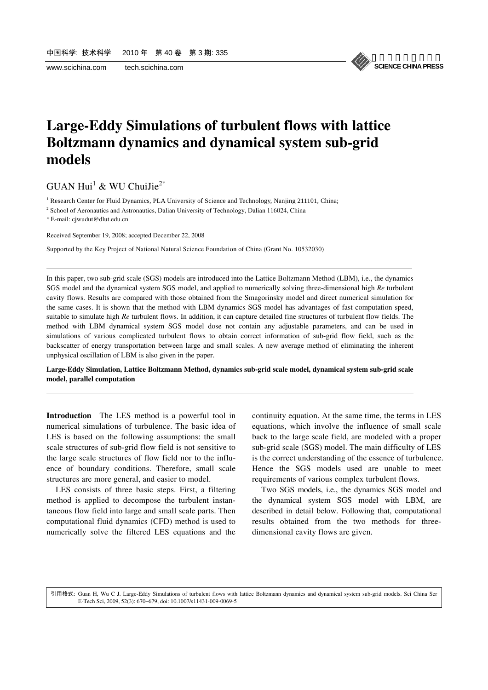

# **Large-Eddy Simulations of turbulent flows with lattice Boltzmann dynamics and dynamical system sub-grid models**

 $GUAN Hui<sup>1</sup>$  & WU ChuiJie<sup>2\*</sup>

<sup>1</sup> Research Center for Fluid Dynamics, PLA University of Science and Technology, Nanjing 211101, China;

<sup>2</sup> School of Aeronautics and Astronautics, Dalian University of Technology, Dalian 116024, China

\* E-mail: cjwudut@dlut.edu.cn

l

l

Received September 19, 2008; accepted December 22, 2008

Supported by the Key Project of National Natural Science Foundation of China (Grant No. 10532030)

In this paper, two sub-grid scale (SGS) models are introduced into the Lattice Boltzmann Method (LBM), i.e., the dynamics SGS model and the dynamical system SGS model, and applied to numerically solving three-dimensional high *Re* turbulent cavity flows. Results are compared with those obtained from the Smagorinsky model and direct numerical simulation for the same cases. It is shown that the method with LBM dynamics SGS model has advantages of fast computation speed, suitable to simulate high *Re* turbulent flows. In addition, it can capture detailed fine structures of turbulent flow fields. The method with LBM dynamical system SGS model dose not contain any adjustable parameters, and can be used in simulations of various complicated turbulent flows to obtain correct information of sub-grid flow field, such as the backscatter of energy transportation between large and small scales. A new average method of eliminating the inherent unphysical oscillation of LBM is also given in the paper.

#### **Large-Eddy Simulation, Lattice Boltzmann Method, dynamics sub-grid scale model, dynamical system sub-grid scale model, parallel computation**

**Introduction** The LES method is a powerful tool in numerical simulations of turbulence. The basic idea of LES is based on the following assumptions: the small scale structures of sub-grid flow field is not sensitive to the large scale structures of flow field nor to the influence of boundary conditions. Therefore, small scale structures are more general, and easier to model.

LES consists of three basic steps. First, a filtering method is applied to decompose the turbulent instantaneous flow field into large and small scale parts. Then computational fluid dynamics (CFD) method is used to numerically solve the filtered LES equations and the continuity equation. At the same time, the terms in LES equations, which involve the influence of small scale back to the large scale field, are modeled with a proper sub-grid scale (SGS) model. The main difficulty of LES is the correct understanding of the essence of turbulence. Hence the SGS models used are unable to meet requirements of various complex turbulent flows.

Two SGS models, i.e., the dynamics SGS model and the dynamical system SGS model with LBM, are described in detail below. Following that, computational results obtained from the two methods for threedimensional cavity flows are given.

E-Tech Sci, 2009, 52(3): 670−679, doi: 10.1007/s11431-009-0069-5 引用格式: Guan H, Wu C J. Large-Eddy Simulations of turbulent flows with lattice Boltzmann dynamics and dynamical system sub-grid models. Sci China Ser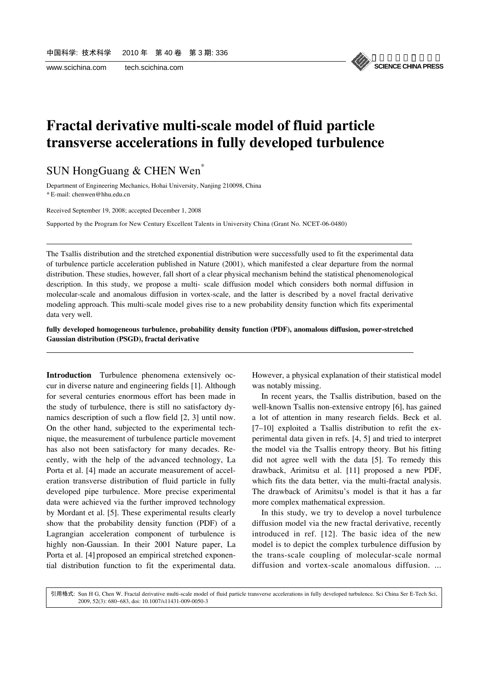#### 《中国科学》杂志社 **SCIENCE CHINA PRESS**

# **Fractal derivative multi-scale model of fluid particle transverse accelerations in fully developed turbulence**

### SUN HongGuang & CHEN Wen\*

Department of Engineering Mechanics, Hohai University, Nanjing 210098, China \* E-mail: chenwen@hhu.edu.cn

Received September 19, 2008; accepted December 1, 2008

l

l

Supported by the Program for New Century Excellent Talents in University China (Grant No. NCET-06-0480)

The Tsallis distribution and the stretched exponential distribution were successfully used to fit the experimental data of turbulence particle acceleration published in Nature (2001), which manifested a clear departure from the normal distribution. These studies, however, fall short of a clear physical mechanism behind the statistical phenomenological description. In this study, we propose a multi- scale diffusion model which considers both normal diffusion in molecular-scale and anomalous diffusion in vortex-scale, and the latter is described by a novel fractal derivative modeling approach. This multi-scale model gives rise to a new probability density function which fits experimental data very well.

**fully developed homogeneous turbulence, probability density function (PDF), anomalous diffusion, power-stretched Gaussian distribution (PSGD), fractal derivative** 

**Introduction** Turbulence phenomena extensively occur in diverse nature and engineering fields [1]. Although for several centuries enormous effort has been made in the study of turbulence, there is still no satisfactory dynamics description of such a flow field [2, 3] until now. On the other hand, subjected to the experimental technique, the measurement of turbulence particle movement has also not been satisfactory for many decades. Recently, with the help of the advanced technology, La Porta et al. [4] made an accurate measurement of acceleration transverse distribution of fluid particle in fully developed pipe turbulence. More precise experimental data were achieved via the further improved technology by Mordant et al. [5]. These experimental results clearly show that the probability density function (PDF) of a Lagrangian acceleration component of turbulence is highly non-Gaussian. In their 2001 Nature paper, La Porta et al. [4] proposed an empirical stretched exponential distribution function to fit the experimental data.

However, a physical explanation of their statistical model was notably missing.

In recent years, the Tsallis distribution, based on the well-known Tsallis non-extensive entropy [6], has gained a lot of attention in many research fields. Beck et al. [7–10] exploited a Tsallis distribution to refit the experimental data given in refs. [4, 5] and tried to interpret the model via the Tsallis entropy theory. But his fitting did not agree well with the data [5]. To remedy this drawback, Arimitsu et al. [11] proposed a new PDF, which fits the data better, via the multi-fractal analysis. The drawback of Arimitsu's model is that it has a far more complex mathematical expression.

In this study, we try to develop a novel turbulence diffusion model via the new fractal derivative, recently introduced in ref. [12]. The basic idea of the new model is to depict the complex turbulence diffusion by the trans-scale coupling of molecular-scale normal diffusion and vortex-scale anomalous diffusion. ...

. 引用格式: Sun H G, Chen W Fractal derivative multi-scale model of fluid particle transverse accelerations in fully developed turbulence. Sci China Ser E-Tech Sci, 2009, 52(3): 680−683, doi: 10.1007/s11431-009-0050-3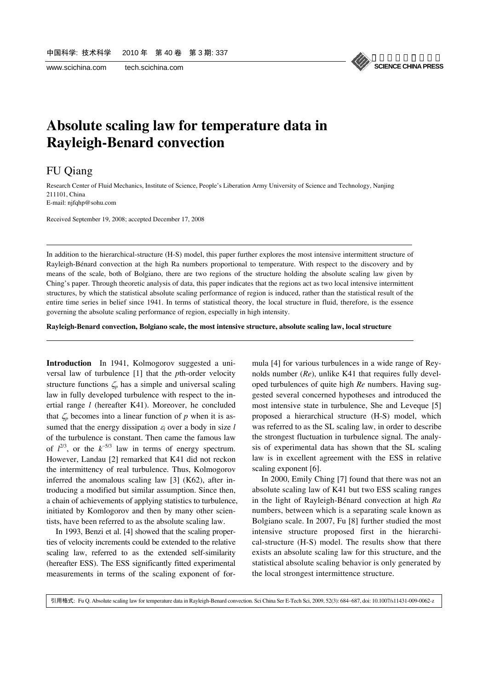

# **Absolute scaling law for temperature data in Rayleigh-Benard convection**

### FU Qiang

l

l

Research Center of Fluid Mechanics, Institute of Science, People's Liberation Army University of Science and Technology, Nanjing 211101, China

E-mail: njfqhp@sohu.com

Received September 19, 2008; accepted December 17, 2008

In addition to the hierarchical-structure (H-S) model, this paper further explores the most intensive intermittent structure of Rayleigh-Bénard convection at the high Ra numbers proportional to temperature. With respect to the discovery and by means of the scale, both of Bolgiano, there are two regions of the structure holding the absolute scaling law given by Ching's paper. Through theoretic analysis of data, this paper indicates that the regions act as two local intensive intermittent structures, by which the statistical absolute scaling performance of region is induced, rather than the statistical result of the entire time series in belief since 1941. In terms of statistical theory, the local structure in fluid, therefore, is the essence governing the absolute scaling performance of region, especially in high intensity.

**Rayleigh-Benard convection, Bolgiano scale, the most intensive structure, absolute scaling law, local structure** 

**Introduction** In 1941, Kolmogorov suggested a universal law of turbulence [1] that the *p*th-order velocity structure functions  $\zeta_p$  has a simple and universal scaling law in fully developed turbulence with respect to the inertial range *l* (hereafter K41). Moreover, he concluded that  $\zeta_p$  becomes into a linear function of p when it is assumed that the energy dissipation <sup>ε</sup>*l* over a body in size *l* of the turbulence is constant. Then came the famous law of  $l^{2/3}$ , or the  $k^{-5/3}$  law in terms of energy spectrum. However, Landau [2] remarked that K41 did not reckon the intermittency of real turbulence. Thus, Kolmogorov inferred the anomalous scaling law [3] (K62), after introducing a modified but similar assumption. Since then, a chain of achievements of applying statistics to turbulence, initiated by Komlogorov and then by many other scientists, have been referred to as the absolute scaling law.

In 1993, Benzi et al. [4] showed that the scaling properties of velocity increments could be extended to the relative scaling law, referred to as the extended self-similarity (hereafter ESS). The ESS significantly fitted experimental measurements in terms of the scaling exponent of formula [4] for various turbulences in a wide range of Reynolds number (*Re*), unlike K41 that requires fully developed turbulences of quite high *Re* numbers. Having suggested several concerned hypotheses and introduced the most intensive state in turbulence, She and Leveque [5] proposed a hierarchical structure (H-S) model, which was referred to as the SL scaling law, in order to describe the strongest fluctuation in turbulence signal. The analysis of experimental data has shown that the SL scaling law is in excellent agreement with the ESS in relative scaling exponent [6].

In 2000, Emily Ching [7] found that there was not an absolute scaling law of K41 but two ESS scaling ranges in the light of Rayleigh-Bénard convection at high *Ra* numbers, between which is a separating scale known as Bolgiano scale. In 2007, Fu [8] further studied the most intensive structure proposed first in the hierarchical-structure (H-S) model. The results show that there exists an absolute scaling law for this structure, and the statistical absolute scaling behavior is only generated by the local strongest intermittence structure.

引用格式: Fu Q. Absolute scaling law for temperature data in Rayleigh-Benard convection. Sci China Ser E-Tech Sci, 2009, 52(3): 684−687, doi: 10.1007/s11431-009-0062-z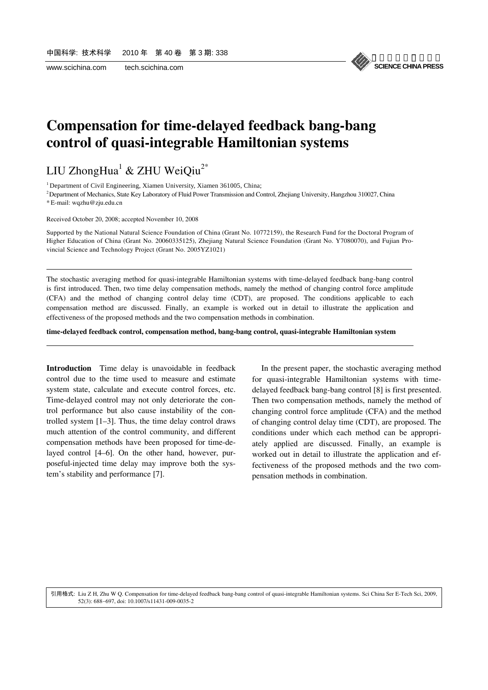

### **Compensation for time-delayed feedback bang-bang control of quasi-integrable Hamiltonian systems**

LIU ZhongHua $^1$  & ZHU WeiQiu $^{2*}$ 

<sup>1</sup> Department of Civil Engineering, Xiamen University, Xiamen 361005, China;

<sup>2</sup> Department of Mechanics, State Key Laboratory of Fluid Power Transmission and Control, Zhejiang University, Hangzhou 310027, China \* E-mail: wqzhu@zju.edu.cn

Received October 20, 2008; accepted November 10, 2008

l

l

Supported by the National Natural Science Foundation of China (Grant No. 10772159), the Research Fund for the Doctoral Program of Higher Education of China (Grant No. 20060335125), Zhejiang Natural Science Foundation (Grant No. Y7080070), and Fujian Provincial Science and Technology Project (Grant No. 2005YZ1021)

The stochastic averaging method for quasi-integrable Hamiltonian systems with time-delayed feedback bang-bang control is first introduced. Then, two time delay compensation methods, namely the method of changing control force amplitude (CFA) and the method of changing control delay time (CDT), are proposed. The conditions applicable to each compensation method are discussed. Finally, an example is worked out in detail to illustrate the application and effectiveness of the proposed methods and the two compensation methods in combination.

**time-delayed feedback control, compensation method, bang-bang control, quasi-integrable Hamiltonian system** 

**Introduction** Time delay is unavoidable in feedback control due to the time used to measure and estimate system state, calculate and execute control forces, etc. Time-delayed control may not only deteriorate the control performance but also cause instability of the controlled system [1–3]. Thus, the time delay control draws much attention of the control community, and different compensation methods have been proposed for time-delayed control [4–6]. On the other hand, however, purposeful-injected time delay may improve both the system's stability and performance [7].

In the present paper, the stochastic averaging method for quasi-integrable Hamiltonian systems with timedelayed feedback bang-bang control [8] is first presented. Then two compensation methods, namely the method of changing control force amplitude (CFA) and the method of changing control delay time (CDT), are proposed. The conditions under which each method can be appropriately applied are discussed. Finally, an example is worked out in detail to illustrate the application and effectiveness of the proposed methods and the two compensation methods in combination.

52(3): 688−697, doi: 10.1007/s11431-009-0035-2 引用格式: Liu Z H, Zhu W Q. Compensation for time-delayed feedback bang-bang control of quasi-integrable Hamiltonian systems. Sci China Ser E-Tech Sci, 2009,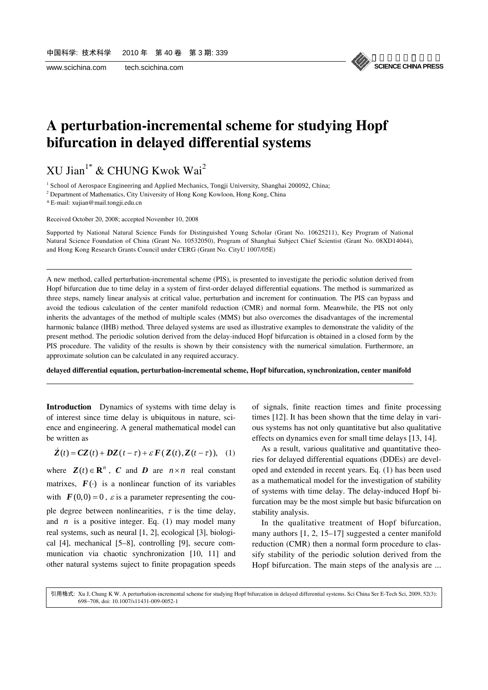《中国科学》杂志社 **SCIENCE CHINA PRESS**

## **A perturbation-incremental scheme for studying Hopf bifurcation in delayed differential systems**

 $\boldsymbol{\mathrm{XU}}$  Jian $^{1^*}$  & CHUNG Kwok Wai $^2$ 

<sup>1</sup> School of Aerospace Engineering and Applied Mechanics, Tongji University, Shanghai 200092, China;

<sup>2</sup> Department of Mathematics, City University of Hong Kong Kowloon, Hong Kong, China

\* E-mail: xujian@mail.tongji.edu.cn

l

l

Received October 20, 2008; accepted November 10, 2008

Supported by National Natural Science Funds for Distinguished Young Scholar (Grant No. 10625211), Key Program of National Natural Science Foundation of China (Grant No. 10532050), Program of Shanghai Subject Chief Scientist (Grant No. 08XD14044), and Hong Kong Research Grants Council under CERG (Grant No. CityU 1007/05E)

A new method, called perturbation-incremental scheme (PIS), is presented to investigate the periodic solution derived from Hopf bifurcation due to time delay in a system of first-order delayed differential equations. The method is summarized as three steps, namely linear analysis at critical value, perturbation and increment for continuation. The PIS can bypass and avoid the tedious calculation of the center manifold reduction (CMR) and normal form. Meanwhile, the PIS not only inherits the advantages of the method of multiple scales (MMS) but also overcomes the disadvantages of the incremental harmonic balance (IHB) method. Three delayed systems are used as illustrative examples to demonstrate the validity of the present method. The periodic solution derived from the delay-induced Hopf bifurcation is obtained in a closed form by the PIS procedure. The validity of the results is shown by their consistency with the numerical simulation. Furthermore, an approximate solution can be calculated in any required accuracy.

**delayed differential equation, perturbation-incremental scheme, Hopf bifurcation, synchronization, center manifold** 

**Introduction** Dynamics of systems with time delay is of interest since time delay is ubiquitous in nature, science and engineering. A general mathematical model can be written as

 $\dot{Z}(t) = CZ(t) + DZ(t-\tau) + \varepsilon F(Z(t), Z(t-\tau)),$  (1)

where  $\mathbf{Z}(t) \in \mathbb{R}^n$ , *C* and *D* are  $n \times n$  real constant matrixes,  $\mathbf{F}(\cdot)$  is a nonlinear function of its variables with  $\mathbf{F}(0,0) = 0$ ,  $\varepsilon$  is a parameter representing the couple degree between nonlinearities,  $\tau$  is the time delay, and  $n$  is a positive integer. Eq. (1) may model many real systems, such as neural [1, 2], ecological [3], biological [4], mechanical [5–8], controlling [9], secure communication via chaotic synchronization [10, 11] and other natural systems suject to finite propagation speeds

of signals, finite reaction times and finite processing times [12]. It has been shown that the time delay in various systems has not only quantitative but also qualitative effects on dynamics even for small time delays [13, 14].

As a result, various qualitative and quantitative theories for delayed differential equations (DDEs) are developed and extended in recent years. Eq. (1) has been used as a mathematical model for the investigation of stability of systems with time delay. The delay-induced Hopf bifurcation may be the most simple but basic bifurcation on stability analysis.

In the qualitative treatment of Hopf bifurcation, many authors [1, 2, 15–17] suggested a center manifold reduction (CMR) then a normal form procedure to classify stability of the periodic solution derived from the Hopf bifurcation. The main steps of the analysis are ...

698−708, doi: 10.1007/s11431-009-0052-1 引用格式: Xu J, Chung K W. A perturbation-incremental scheme for studying Hopf bifurcation in delayed differential systems. Sci China Ser E-Tech Sci, 2009, 52(3):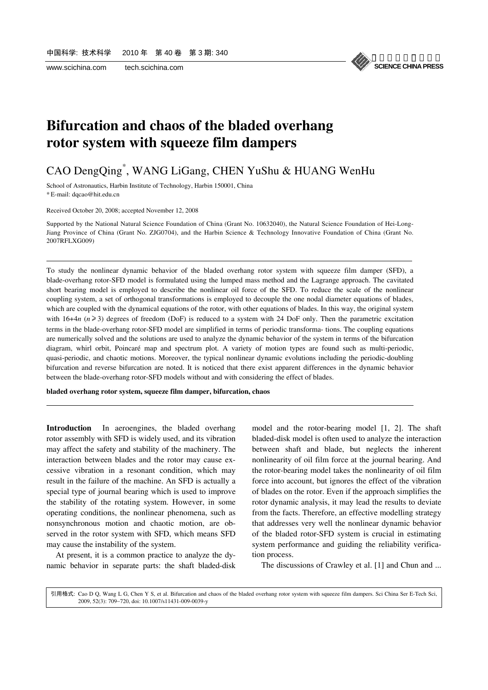

## **Bifurcation and chaos of the bladed overhang rotor system with squeeze film dampers**

### CAO DengQing\* , WANG LiGang, CHEN YuShu & HUANG WenHu

School of Astronautics, Harbin Institute of Technology, Harbin 150001, China \* E-mail: dqcao@hit.edu.cn

Received October 20, 2008; accepted November 12, 2008

l

l

Supported by the National Natural Science Foundation of China (Grant No. 10632040), the Natural Science Foundation of Hei-Long-Jiang Province of China (Grant No. ZJG0704), and the Harbin Science & Technology Innovative Foundation of China (Grant No. 2007RFLXG009)

To study the nonlinear dynamic behavior of the bladed overhang rotor system with squeeze film damper (SFD), a blade-overhang rotor-SFD model is formulated using the lumped mass method and the Lagrange approach. The cavitated short bearing model is employed to describe the nonlinear oil force of the SFD. To reduce the scale of the nonlinear coupling system, a set of orthogonal transformations is employed to decouple the one nodal diameter equations of blades, which are coupled with the dynamical equations of the rotor, with other equations of blades. In this way, the original system with  $16+4n$  ( $n \ge 3$ ) degrees of freedom (DoF) is reduced to a system with 24 DoF only. Then the parametric excitation terms in the blade-overhang rotor-SFD model are simplified in terms of periodic transforma- tions. The coupling equations are numerically solved and the solutions are used to analyze the dynamic behavior of the system in terms of the bifurcation diagram, whirl orbit, Poincaré map and spectrum plot. A variety of motion types are found such as multi-periodic, quasi-periodic, and chaotic motions. Moreover, the typical nonlinear dynamic evolutions including the periodic-doubling bifurcation and reverse bifurcation are noted. It is noticed that there exist apparent differences in the dynamic behavior between the blade-overhang rotor-SFD models without and with considering the effect of blades.

**bladed overhang rotor system, squeeze film damper, bifurcation, chaos** 

**Introduction** In aeroengines, the bladed overhang rotor assembly with SFD is widely used, and its vibration may affect the safety and stability of the machinery. The interaction between blades and the rotor may cause excessive vibration in a resonant condition, which may result in the failure of the machine. An SFD is actually a special type of journal bearing which is used to improve the stability of the rotating system. However, in some operating conditions, the nonlinear phenomena, such as nonsynchronous motion and chaotic motion, are observed in the rotor system with SFD, which means SFD may cause the instability of the system.

At present, it is a common practice to analyze the dynamic behavior in separate parts: the shaft bladed-disk model and the rotor-bearing model [1, 2]. The shaft bladed-disk model is often used to analyze the interaction between shaft and blade, but neglects the inherent nonlinearity of oil film force at the journal bearing. And the rotor-bearing model takes the nonlinearity of oil film force into account, but ignores the effect of the vibration of blades on the rotor. Even if the approach simplifies the rotor dynamic analysis, it may lead the results to deviate from the facts. Therefore, an effective modelling strategy that addresses very well the nonlinear dynamic behavior of the bladed rotor-SFD system is crucial in estimating system performance and guiding the reliability verification process.

The discussions of Crawley et al. [1] and Chun and ...

2009, 52(3): 709−720, doi: 10.1007/s11431-009-0039-y 引用格式: Cao D Q, Wang L G, Chen Y S, et al. Bifurcation and chaos of the bladed overhang rotor system with squeeze film dampers. Sci China Ser E-Tech Sci,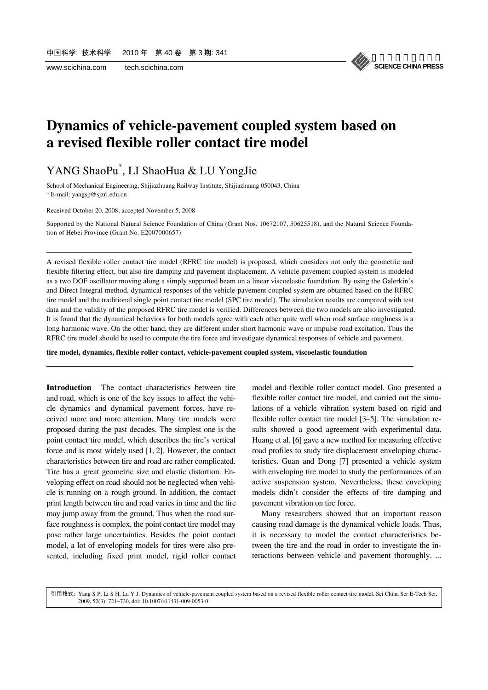

## **Dynamics of vehicle-pavement coupled system based on a revised flexible roller contact tire model**

### YANG ShaoPu\* , LI ShaoHua & LU YongJie

School of Mechanical Engineering, Shijiazhuang Railway Institute, Shijiazhuang 050043, China \* E-mail: yangsp@sjzri.edu.cn

Received October 20, 2008; accepted November 5, 2008

l

l

Supported by the National Natural Science Foundation of China (Grant Nos. 10672107, 50625518), and the Natural Science Foundation of Hebei Province (Grant No. E2007000657)

A revised flexible roller contact tire model (RFRC tire model) is proposed, which considers not only the geometric and flexible filtering effect, but also tire damping and pavement displacement. A vehicle-pavement coupled system is modeled as a two DOF oscillator moving along a simply supported beam on a linear viscoelastic foundation. By using the Galerkin's and Direct Integral method, dynamical responses of the vehicle-pavement coupled system are obtained based on the RFRC tire model and the traditional single point contact tire model (SPC tire model). The simulation results are compared with test data and the validity of the proposed RFRC tire model is verified. Differences between the two models are also investigated. It is found that the dynamical behaviors for both models agree with each other quite well when road surface roughness is a long harmonic wave. On the other hand, they are different under short harmonic wave or impulse road excitation. Thus the RFRC tire model should be used to compute the tire force and investigate dynamical responses of vehicle and pavement.

**tire model, dynamics, flexible roller contact, vehicle-pavement coupled system, viscoelastic foundation** 

**Introduction** The contact characteristics between tire and road, which is one of the key issues to affect the vehicle dynamics and dynamical pavement forces, have received more and more attention. Many tire models were proposed during the past decades. The simplest one is the point contact tire model, which describes the tire's vertical force and is most widely used [1, 2]. However, the contact characteristics between tire and road are rather complicated. Tire has a great geometric size and elastic distortion. Enveloping effect on road should not be neglected when vehicle is running on a rough ground. In addition, the contact print length between tire and road varies in time and the tire may jump away from the ground. Thus when the road surface roughness is complex, the point contact tire model may pose rather large uncertainties. Besides the point contact model, a lot of enveloping models for tires were also presented, including fixed print model, rigid roller contact

model and flexible roller contact model. Guo presented a flexible roller contact tire model, and carried out the simulations of a vehicle vibration system based on rigid and flexible roller contact tire model [3–5]. The simulation results showed a good agreement with experimental data. Huang et al. [6] gave a new method for measuring effective road profiles to study tire displacement enveloping characteristics. Guan and Dong [7] presented a vehicle system with enveloping tire model to study the performances of an active suspension system. Nevertheless, these enveloping models didn't consider the effects of tire damping and pavement vibration on tire force.

Many researchers showed that an important reason causing road damage is the dynamical vehicle loads. Thus, it is necessary to model the contact characteristics between the tire and the road in order to investigate the interactions between vehicle and pavement thoroughly. ...

2009, 52(3): 721−730, doi: 10.1007/s11431-009-0053-0 引用格式: Yang S P, Li S H, Lu Y J. Dynamics of vehicle-pavement coupled system based on a revised flexible roller contact tire model. Sci China Ser E-Tech Sci,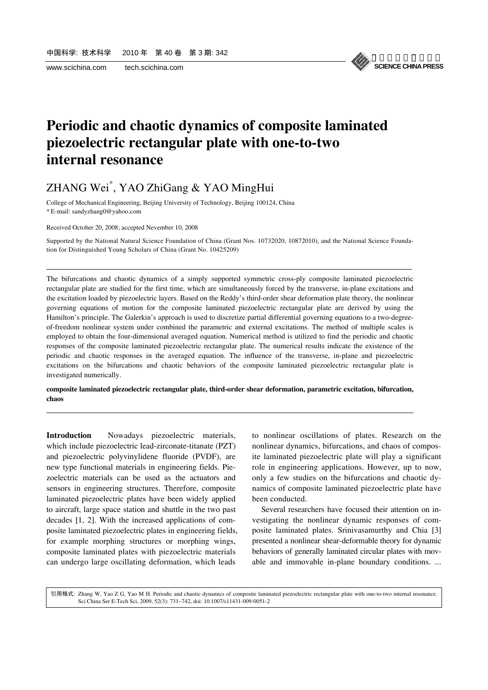l

l



## **Periodic and chaotic dynamics of composite laminated piezoelectric rectangular plate with one-to-two internal resonance**

### ZHANG Wei\* , YAO ZhiGang & YAO MingHui

College of Mechanical Engineering, Beijing University of Technology, Beijing 100124, China \* E-mail: sandyzhang0@yahoo.com

Received October 20, 2008; accepted Nevember 10, 2008

Supported by the National Natural Science Foundation of China (Grant Nos. 10732020, 10872010), and the National Science Foundation for Distinguished Young Scholars of China (Grant No. 10425209)

The bifurcations and chaotic dynamics of a simply supported symmetric cross-ply composite laminated piezoelectric rectangular plate are studied for the first time, which are simultaneously forced by the transverse, in-plane excitations and the excitation loaded by piezoelectric layers. Based on the Reddy's third-order shear deformation plate theory, the nonlinear governing equations of motion for the composite laminated piezoelectric rectangular plate are derived by using the Hamilton's principle. The Galerkin's approach is used to discretize partial differential governing equations to a two-degreeof-freedom nonlinear system under combined the parametric and external excitations. The method of multiple scales is employed to obtain the four-dimensional averaged equation. Numerical method is utilized to find the periodic and chaotic responses of the composite laminated piezoelectric rectangular plate. The numerical results indicate the existence of the periodic and chaotic responses in the averaged equation. The influence of the transverse, in-plane and piezoelectric excitations on the bifurcations and chaotic behaviors of the composite laminated piezoelectric rectangular plate is investigated numerically.

**composite laminated piezoelectric rectangular plate, third-order shear deformation, parametric excitation, bifurcation, chaos** 

**Introduction** Nowadays piezoelectric materials, which include piezoelectric lead-zirconate-titanate (PZT) and piezoelectric polyvinylidene fluoride (PVDF), are new type functional materials in engineering fields. Piezoelectric materials can be used as the actuators and sensors in engineering structures. Therefore, composite laminated piezoelectric plates have been widely applied to aircraft, large space station and shuttle in the two past decades [1, 2]. With the increased applications of composite laminated piezoelectric plates in engineering fields, for example morphing structures or morphing wings, composite laminated plates with piezoelectric materials can undergo large oscillating deformation, which leads

to nonlinear oscillations of plates. Research on the nonlinear dynamics, bifurcations, and chaos of composite laminated piezoelectric plate will play a significant role in engineering applications. However, up to now, only a few studies on the bifurcations and chaotic dynamics of composite laminated piezoelectric plate have been conducted.

Several researchers have focused their attention on investigating the nonlinear dynamic responses of composite laminated plates. Srinivasamurthy and Chia [3] presented a nonlinear shear-deformable theory for dynamic behaviors of generally laminated circular plates with movable and immovable in-plane boundary conditions. ...

Sci China Ser E-Tech Sci, 2009, 52(3): 731−742, doi: 10.1007/s11431-009-0051-2 引用格式: Zhang W, Yao Z G, Yao M H. Periodic and chaotic dynamics of composite laminated piezoelectric rectangular plate with one-to-two internal resonance.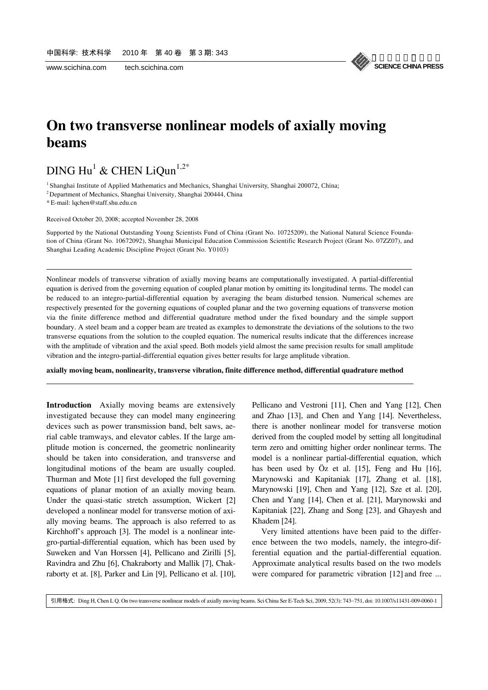#### 《中国科学》杂志社 **SCIENCE CHINA PRESS**

## **On two transverse nonlinear models of axially moving beams**

### $\rm DING\ Hu^1\ \&\ CHEN\ LiQun^{1,2^*}$

<sup>1</sup> Shanghai Institute of Applied Mathematics and Mechanics, Shanghai University, Shanghai 200072, China;

2 Department of Mechanics, Shanghai University, Shanghai 200444, China

\* E-mail: lqchen@staff.shu.edu.cn

l

l

Received October 20, 2008; accepted November 28, 2008

Supported by the National Outstanding Young Scientists Fund of China (Grant No. 10725209), the National Natural Science Foundation of China (Grant No. 10672092), Shanghai Municipal Education Commission Scientific Research Project (Grant No. 07ZZ07), and Shanghai Leading Academic Discipline Project (Grant No. Y0103)

Nonlinear models of transverse vibration of axially moving beams are computationally investigated. A partial-differential equation is derived from the governing equation of coupled planar motion by omitting its longitudinal terms. The model can be reduced to an integro-partial-differential equation by averaging the beam disturbed tension. Numerical schemes are respectively presented for the governing equations of coupled planar and the two governing equations of transverse motion via the finite difference method and differential quadrature method under the fixed boundary and the simple support boundary. A steel beam and a copper beam are treated as examples to demonstrate the deviations of the solutions to the two transverse equations from the solution to the coupled equation. The numerical results indicate that the differences increase with the amplitude of vibration and the axial speed. Both models yield almost the same precision results for small amplitude vibration and the integro-partial-differential equation gives better results for large amplitude vibration.

**axially moving beam, nonlinearity, transverse vibration, finite difference method, differential quadrature method** 

**Introduction** Axially moving beams are extensively investigated because they can model many engineering devices such as power transmission band, belt saws, aerial cable tramways, and elevator cables. If the large amplitude motion is concerned, the geometric nonlinearity should be taken into consideration, and transverse and longitudinal motions of the beam are usually coupled. Thurman and Mote [1] first developed the full governing equations of planar motion of an axially moving beam. Under the quasi-static stretch assumption, Wickert [2] developed a nonlinear model for transverse motion of axially moving beams. The approach is also referred to as Kirchhoff's approach [3]. The model is a nonlinear integro-partial-differential equation, which has been used by Suweken and Van Horssen [4], Pellicano and Zirilli [5], Ravindra and Zhu [6], Chakraborty and Mallik [7], Chakraborty et at. [8], Parker and Lin [9], Pellicano et al. [10],

Pellicano and Vestroni [11], Chen and Yang [12], Chen and Zhao [13], and Chen and Yang [14]. Nevertheless, there is another nonlinear model for transverse motion derived from the coupled model by setting all longitudinal term zero and omitting higher order nonlinear terms. The model is a nonlinear partial-differential equation, which has been used by  $\overline{Oz}$  et al. [15], Feng and Hu [16], Marynowski and Kapitaniak [17], Zhang et al. [18], Marynowski [19], Chen and Yang [12], Sze et al. [20], Chen and Yang [14], Chen et al. [21], Marynowski and Kapitaniak [22], Zhang and Song [23], and Ghayesh and Khadem [24].

Very limited attentions have been paid to the difference between the two models, namely, the integro-differential equation and the partial-differential equation. Approximate analytical results based on the two models were compared for parametric vibration [12] and free ...

引用格式: Ding H, Chen L Q. On two transverse nonlinear models of axially moving beams. Sci China Ser E-Tech Sci, 2009, 52(3): 743−751, doi: 10.1007/s11431-009-0060-1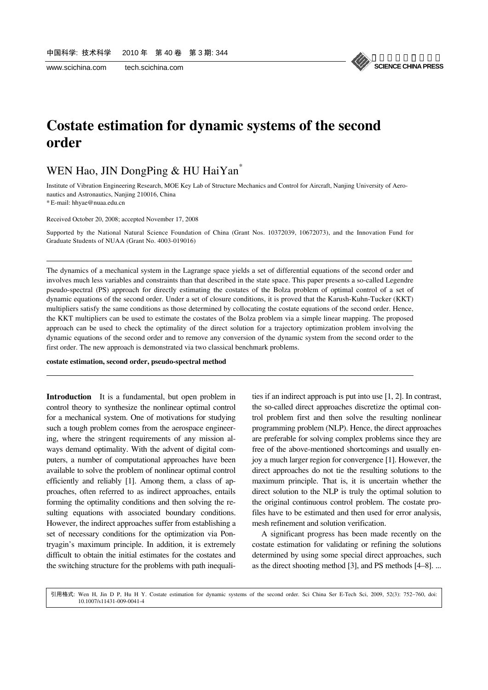#### 《中国科学》杂志社 **SCIENCE CHINA PRESS**

### **Costate estimation for dynamic systems of the second order**

### WEN Hao, JIN DongPing & HU HaiYan<sup>\*</sup>

Institute of Vibration Engineering Research, MOE Key Lab of Structure Mechanics and Control for Aircraft, Nanjing University of Aeronautics and Astronautics, Nanjing 210016, China

\* E-mail: hhyae@nuaa.edu.cn

l

l

Received October 20, 2008; accepted November 17, 2008

Supported by the National Natural Science Foundation of China (Grant Nos. 10372039, 10672073), and the Innovation Fund for Graduate Students of NUAA (Grant No. 4003-019016)

The dynamics of a mechanical system in the Lagrange space yields a set of differential equations of the second order and involves much less variables and constraints than that described in the state space. This paper presents a so-called Legendre pseudo-spectral (PS) approach for directly estimating the costates of the Bolza problem of optimal control of a set of dynamic equations of the second order. Under a set of closure conditions, it is proved that the Karush-Kuhn-Tucker (KKT) multipliers satisfy the same conditions as those determined by collocating the costate equations of the second order. Hence, the KKT multipliers can be used to estimate the costates of the Bolza problem via a simple linear mapping. The proposed approach can be used to check the optimality of the direct solution for a trajectory optimization problem involving the dynamic equations of the second order and to remove any conversion of the dynamic system from the second order to the first order. The new approach is demonstrated via two classical benchmark problems.

#### **costate estimation, second order, pseudo-spectral method**

**Introduction** It is a fundamental, but open problem in control theory to synthesize the nonlinear optimal control for a mechanical system. One of motivations for studying such a tough problem comes from the aerospace engineering, where the stringent requirements of any mission always demand optimality. With the advent of digital computers, a number of computational approaches have been available to solve the problem of nonlinear optimal control efficiently and reliably [1]. Among them, a class of approaches, often referred to as indirect approaches, entails forming the optimality conditions and then solving the resulting equations with associated boundary conditions. However, the indirect approaches suffer from establishing a set of necessary conditions for the optimization via Pontryagin's maximum principle. In addition, it is extremely difficult to obtain the initial estimates for the costates and the switching structure for the problems with path inequalities if an indirect approach is put into use [1, 2]. In contrast, the so-called direct approaches discretize the optimal control problem first and then solve the resulting nonlinear programming problem (NLP). Hence, the direct approaches are preferable for solving complex problems since they are free of the above-mentioned shortcomings and usually enjoy a much larger region for convergence [1]. However, the direct approaches do not tie the resulting solutions to the maximum principle. That is, it is uncertain whether the direct solution to the NLP is truly the optimal solution to the original continuous control problem. The costate profiles have to be estimated and then used for error analysis, mesh refinement and solution verification.

A significant progress has been made recently on the costate estimation for validating or refining the solutions determined by using some special direct approaches, such as the direct shooting method [3], and PS methods [4–8]. ...

10.1007/s11431-009-0041-4 引用格式: Wen H, Jin D P, Hu H Y. Costate estimation for dynamic systems of the second order. Sci China Ser E-Tech Sci, 2009, 52(3): 752−760, doi: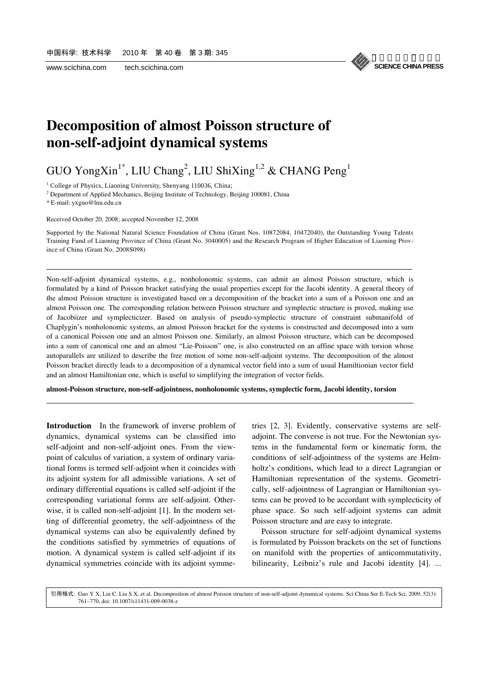

## **Decomposition of almost Poisson structure of non-self-adjoint dynamical systems**

GUO YongXin<sup>1\*</sup>, LIU Chang<sup>2</sup>, LIU ShiXing<sup>1,2</sup> & CHANG Peng<sup>1</sup>

<sup>1</sup> College of Physics, Liaoning University, Shenyang 110036, China;

<sup>2</sup> Department of Applied Mechanics, Beijing Institute of Technology, Beijing 100081, China

\* E-mail: yxguo@lnu.edu.cn

l

l

Received October 20, 2008; accepted November 12, 2008

Supported by the National Natural Science Foundation of China (Grant Nos. 10872084, 10472040), the Outstanding Young Talents Training Fund of Liaoning Province of China (Grant No. 3040005) and the Research Program of Higher Education of Liaoning Province of China (Grant No. 2008S098)

Non-self-adjoint dynamical systems, e.g., nonholonomic systems, can admit an almost Poisson structure, which is formulated by a kind of Poisson bracket satisfying the usual properties except for the Jacobi identity. A general theory of the almost Poisson structure is investigated based on a decomposition of the bracket into a sum of a Poisson one and an almost Poisson one. The corresponding relation between Poisson structure and symplectic structure is proved, making use of Jacobiizer and symplecticizer. Based on analysis of pseudo-symplectic structure of constraint submanifold of Chaplygin's nonholonomic systems, an almost Poisson bracket for the systems is constructed and decomposed into a sum of a canonical Poisson one and an almost Poisson one. Similarly, an almost Poisson structure, which can be decomposed into a sum of canonical one and an almost "Lie-Poisson" one, is also constructed on an affine space with torsion whose autoparallels are utilized to describe the free motion of some non-self-adjoint systems. The decomposition of the almost Poisson bracket directly leads to a decomposition of a dynamical vector field into a sum of usual Hamiltionian vector field and an almost Hamiltonian one, which is useful to simplifying the integration of vector fields.

**almost-Poisson structure, non-self-adjointness, nonholonomic systems, symplectic form, Jacobi identity, torsion** 

**Introduction** In the framework of inverse problem of dynamics, dynamical systems can be classified into self-adjoint and non-self-adjoint ones. From the viewpoint of calculus of variation, a system of ordinary variational forms is termed self-adjoint when it coincides with its adjoint system for all admissible variations. A set of ordinary differential equations is called self-adjoint if the corresponding variational forms are self-adjoint. Otherwise, it is called non-self-adjoint [1]. In the modern setting of differential geometry, the self-adjointness of the dynamical systems can also be equivalently defined by the conditions satisfied by symmetries of equations of motion. A dynamical system is called self-adjoint if its dynamical symmetries coincide with its adjoint symmetries [2, 3]. Evidently, conservative systems are selfadjoint. The converse is not true. For the Newtonian systems in the fundamental form or kinematic form, the conditions of self-adjointness of the systems are Helmholtz's conditions, which lead to a direct Lagrangian or Hamiltonian representation of the systems. Geometrically, self-adjointness of Lagrangian or Hamiltonian systems can be proved to be accordant with symplecticity of phase space. So such self-adjoint systems can admit Poisson structure and are easy to integrate.

Poisson structure for self-adjoint dynamical systems is formulated by Poisson brackets on the set of functions on manifold with the properties of anticommutativity, bilinearity, Leibniz's rule and Jacobi identity [4]. ...

761−770, doi: 10.1007/s11431-009-0038-z 引用格式: Guo Y X, Liu C, Liu S X, et al. Decomposition of almost Poisson structure of non-self-adjoint dynamical systems. Sci China Ser E-Tech Sci, 2009, 52(3):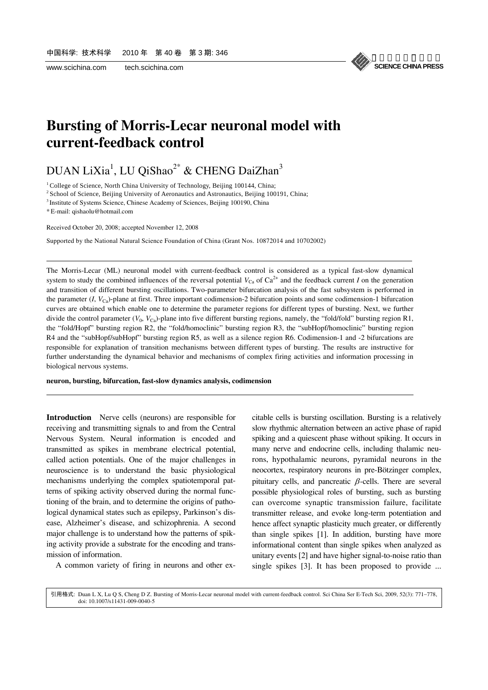

## **Bursting of Morris-Lecar neuronal model with current-feedback control**

### DUAN LiXia<sup>1</sup>, LU QiShao<sup>2\*</sup> & CHENG DaiZhan<sup>3</sup>

<sup>1</sup> College of Science, North China University of Technology, Beijing 100144, China; <sup>2</sup> School of Science, Beijing University of Aeronautics and Astronautics, Beijing 100191, China;

3 Institute of Systems Science, Chinese Academy of Sciences, Beijing 100190, China

\* E-mail: qishaolu@hotmail.com

l

l

Received October 20, 2008; accepted November 12, 2008

Supported by the National Natural Science Foundation of China (Grant Nos. 10872014 and 10702002)

The Morris-Lecar (ML) neuronal model with current-feedback control is considered as a typical fast-slow dynamical system to study the combined influences of the reversal potential  $V_{\text{Ca}}$  of Ca<sup>2+</sup> and the feedback current *I* on the generation and transition of different bursting oscillations. Two-parameter bifurcation analysis of the fast subsystem is performed in the parameter  $(I, V_{Ca})$ -plane at first. Three important codimension-2 bifurcation points and some codimension-1 bifurcation curves are obtained which enable one to determine the parameter regions for different types of bursting. Next, we further divide the control parameter  $(V_0, V_{Ca})$ -plane into five different bursting regions, namely, the "fold/fold" bursting region R1, the "fold/Hopf" bursting region R2, the "fold/homoclinic" bursting region R3, the "subHopf/homoclinic" bursting region R4 and the "subHopf/subHopf" bursting region R5, as well as a silence region R6. Codimension-1 and -2 bifurcations are responsible for explanation of transition mechanisms between different types of bursting. The results are instructive for further understanding the dynamical behavior and mechanisms of complex firing activities and information processing in biological nervous systems.

**neuron, bursting, bifurcation, fast-slow dynamics analysis, codimension** 

**Introduction** Nerve cells (neurons) are responsible for receiving and transmitting signals to and from the Central Nervous System. Neural information is encoded and transmitted as spikes in membrane electrical potential, called action potentials. One of the major challenges in neuroscience is to understand the basic physiological mechanisms underlying the complex spatiotemporal patterns of spiking activity observed during the normal functioning of the brain, and to determine the origins of pathological dynamical states such as epilepsy, Parkinson's disease, Alzheimer's disease, and schizophrenia. A second major challenge is to understand how the patterns of spiking activity provide a substrate for the encoding and transmission of information.

A common variety of firing in neurons and other ex-

citable cells is bursting oscillation. Bursting is a relatively slow rhythmic alternation between an active phase of rapid spiking and a quiescent phase without spiking. It occurs in many nerve and endocrine cells, including thalamic neurons, hypothalamic neurons, pyramidal neurons in the neocortex, respiratory neurons in pre-Bötzinger complex, pituitary cells, and pancreatic  $\beta$ -cells. There are several possible physiological roles of bursting, such as bursting can overcome synaptic transmission failure, facilitate transmitter release, and evoke long-term potentiation and hence affect synaptic plasticity much greater, or differently than single spikes [1]. In addition, bursting have more informational content than single spikes when analyzed as unitary events [2] and have higher signal-to-noise ratio than single spikes [3]. It has been proposed to provide ...

doi: 10.1007/s11431-009-0040-5 引用格式: Duan L X, Lu Q S, Cheng D Z. Bursting of Morris-Lecar neuronal model with current-feedback control. Sci China Ser E-Tech Sci, 2009, 52(3): 771−778,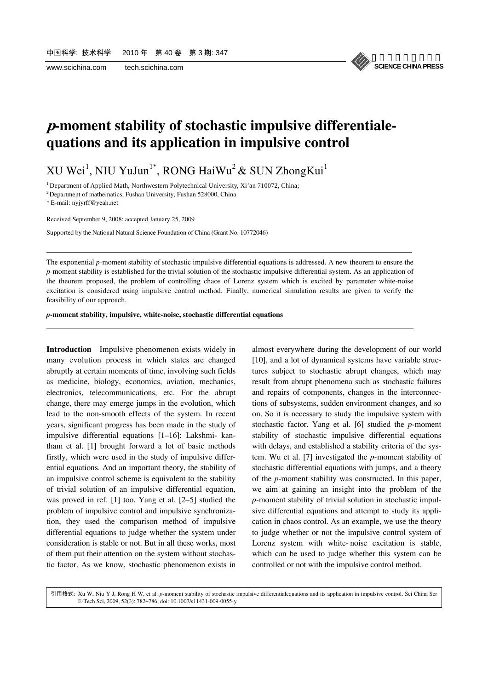《中国科学》杂志社 **SCIENCE CHINA PRESS**

### **p-moment stability of stochastic impulsive differentialequations and its application in impulsive control**

 ${\rm XU~Wei}^1,$  NIU  ${\rm YuJun}^{1*},$  RONG HaiWu $^2$  & SUN ZhongKui $^1$ 

<sup>1</sup> Department of Applied Math, Northwestern Polytechnical University, Xi'an 710072, China;

 $2$  Department of mathematics, Fushan University, Fushan 528000, China

\* E-mail: nyjyrff@yeah.net

l

l

Received September 9, 2008; accepted January 25, 2009

Supported by the National Natural Science Foundation of China (Grant No. 10772046)

The exponential *p*-moment stability of stochastic impulsive differential equations is addressed. A new theorem to ensure the *p*-moment stability is established for the trivial solution of the stochastic impulsive differential system. As an application of the theorem proposed, the problem of controlling chaos of Lorenz system which is excited by parameter white-noise excitation is considered using impulsive control method. Finally, numerical simulation results are given to verify the feasibility of our approach.

*p***-moment stability, impulsive, white-noise, stochastic differential equations** 

**Introduction** Impulsive phenomenon exists widely in many evolution process in which states are changed abruptly at certain moments of time, involving such fields as medicine, biology, economics, aviation, mechanics, electronics, telecommunications, etc. For the abrupt change, there may emerge jumps in the evolution, which lead to the non-smooth effects of the system. In recent years, significant progress has been made in the study of impulsive differential equations [1–16]: Lakshmi- kantham et al. [1] brought forward a lot of basic methods firstly, which were used in the study of impulsive differential equations. And an important theory, the stability of an impulsive control scheme is equivalent to the stability of trivial solution of an impulsive differential equation, was proved in ref. [1] too. Yang et al. [2–5] studied the problem of impulsive control and impulsive synchronization, they used the comparison method of impulsive differential equations to judge whether the system under consideration is stable or not. But in all these works, most of them put their attention on the system without stochastic factor. As we know, stochastic phenomenon exists in almost everywhere during the development of our world [10], and a lot of dynamical systems have variable structures subject to stochastic abrupt changes, which may result from abrupt phenomena such as stochastic failures and repairs of components, changes in the interconnections of subsystems, sudden environment changes, and so on. So it is necessary to study the impulsive system with stochastic factor. Yang et al. [6] studied the *p*-moment stability of stochastic impulsive differential equations with delays, and established a stability criteria of the system. Wu et al. [7] investigated the *p*-moment stability of stochastic differential equations with jumps, and a theory of the *p*-moment stability was constructed. In this paper, we aim at gaining an insight into the problem of the *p*-moment stability of trivial solution in stochastic impulsive differential equations and attempt to study its application in chaos control. As an example, we use the theory to judge whether or not the impulsive control system of Lorenz system with white- noise excitation is stable, which can be used to judge whether this system can be controlled or not with the impulsive control method.

E-Tech Sci, 2009, 52(3): 782−786, doi: 10.1007/s11431-009-0055-y 引用格式: Xu W, Niu Y J, Rong H W, et al. *p*-moment stability of stochastic impulsive differentialequations and its application in impulsive control. Sci China Ser